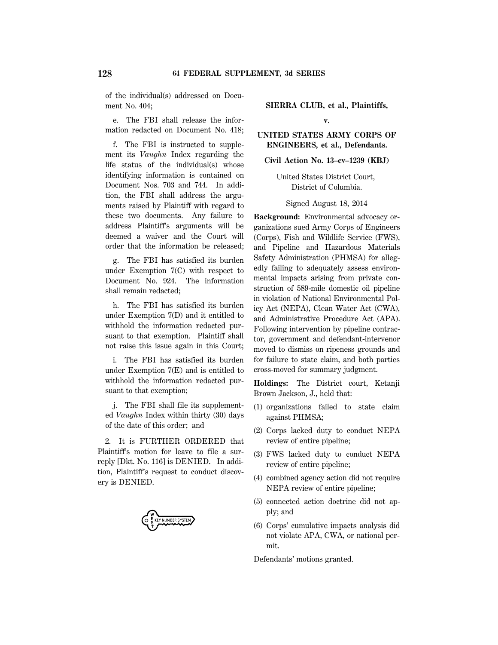of the individual(s) addressed on Document No. 404;

e. The FBI shall release the information redacted on Document No. 418;

f. The FBI is instructed to supplement its *Vaughn* Index regarding the life status of the individual(s) whose identifying information is contained on Document Nos. 703 and 744. In addition, the FBI shall address the arguments raised by Plaintiff with regard to these two documents. Any failure to address Plaintiff's arguments will be deemed a waiver and the Court will order that the information be released;

g. The FBI has satisfied its burden under Exemption 7(C) with respect to Document No. 924. The information shall remain redacted;

h. The FBI has satisfied its burden under Exemption 7(D) and it entitled to withhold the information redacted pursuant to that exemption. Plaintiff shall not raise this issue again in this Court;

i. The FBI has satisfied its burden under Exemption 7(E) and is entitled to withhold the information redacted pursuant to that exemption;

j. The FBI shall file its supplemented *Vaughn* Index within thirty (30) days of the date of this order; and

2. It is FURTHER ORDERED that Plaintiff's motion for leave to file a surreply [Dkt. No. 116] is DENIED. In addition, Plaintiff's request to conduct discovery is DENIED.



**SIERRA CLUB, et al., Plaintiffs, v.**

**UNITED STATES ARMY CORPS OF ENGINEERS, et al., Defendants.**

**Civil Action No. 13–cv–1239 (KBJ)**

United States District Court, District of Columbia.

Signed August 18, 2014

**Background:** Environmental advocacy organizations sued Army Corps of Engineers (Corps), Fish and Wildlife Service (FWS), and Pipeline and Hazardous Materials Safety Administration (PHMSA) for allegedly failing to adequately assess environmental impacts arising from private construction of 589-mile domestic oil pipeline in violation of National Environmental Policy Act (NEPA), Clean Water Act (CWA), and Administrative Procedure Act (APA). Following intervention by pipeline contractor, government and defendant-intervenor moved to dismiss on ripeness grounds and for failure to state claim, and both parties cross-moved for summary judgment.

**Holdings:** The District court, Ketanji Brown Jackson, J., held that:

- (1) organizations failed to state claim against PHMSA;
- (2) Corps lacked duty to conduct NEPA review of entire pipeline;
- (3) FWS lacked duty to conduct NEPA review of entire pipeline;
- (4) combined agency action did not require NEPA review of entire pipeline;
- (5) connected action doctrine did not apply; and
- (6) Corps' cumulative impacts analysis did not violate APA, CWA, or national permit.

Defendants' motions granted.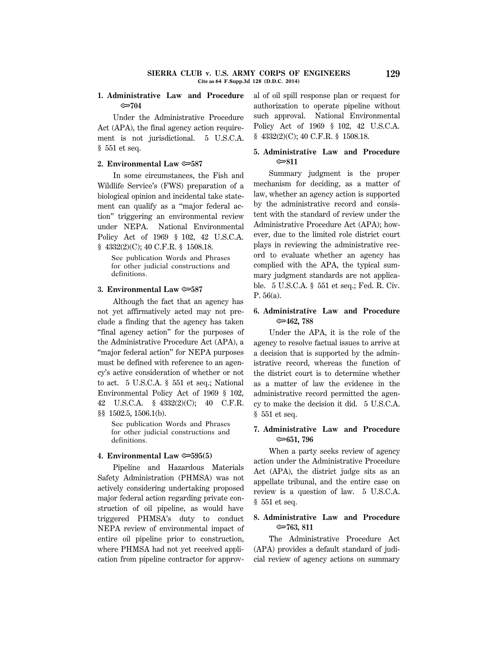## **1. Administrative Law and Procedure** O**704**

Under the Administrative Procedure Act (APA), the final agency action requirement is not jurisdictional. 5 U.S.C.A. § 551 et seq.

## **2. Environmental Law** O**587**

In some circumstances, the Fish and Wildlife Service's (FWS) preparation of a biological opinion and incidental take statement can qualify as a "major federal action'' triggering an environmental review under NEPA. National Environmental Policy Act of 1969 § 102, 42 U.S.C.A. § 4332(2)(C); 40 C.F.R. § 1508.18.

See publication Words and Phrases for other judicial constructions and definitions.

### **3. Environmental Law** O**587**

Although the fact that an agency has not yet affirmatively acted may not preclude a finding that the agency has taken "final agency action" for the purposes of the Administrative Procedure Act (APA), a ''major federal action'' for NEPA purposes must be defined with reference to an agency's active consideration of whether or not to act. 5 U.S.C.A. § 551 et seq.; National Environmental Policy Act of 1969 § 102, 42 U.S.C.A. § 4332(2)(C); 40 C.F.R. §§ 1502.5, 1506.1(b).

See publication Words and Phrases for other judicial constructions and definitions.

### **4. Environmental Law** O**595(5)**

Pipeline and Hazardous Materials Safety Administration (PHMSA) was not actively considering undertaking proposed major federal action regarding private construction of oil pipeline, as would have triggered PHMSA's duty to conduct NEPA review of environmental impact of entire oil pipeline prior to construction, where PHMSA had not yet received application from pipeline contractor for approval of oil spill response plan or request for authorization to operate pipeline without such approval. National Environmental Policy Act of 1969 § 102, 42 U.S.C.A. § 4332(2)(C); 40 C.F.R. § 1508.18.

# **5. Administrative Law and Procedure** O**811**

Summary judgment is the proper mechanism for deciding, as a matter of law, whether an agency action is supported by the administrative record and consistent with the standard of review under the Administrative Procedure Act (APA); however, due to the limited role district court plays in reviewing the administrative record to evaluate whether an agency has complied with the APA, the typical summary judgment standards are not applicable. 5 U.S.C.A. § 551 et seq.; Fed. R. Civ. P. 56(a).

# **6. Administrative Law and Procedure** O**462, 788**

Under the APA, it is the role of the agency to resolve factual issues to arrive at a decision that is supported by the administrative record, whereas the function of the district court is to determine whether as a matter of law the evidence in the administrative record permitted the agency to make the decision it did. 5 U.S.C.A. § 551 et seq.

# **7. Administrative Law and Procedure** O**651, 796**

When a party seeks review of agency action under the Administrative Procedure Act (APA), the district judge sits as an appellate tribunal, and the entire case on review is a question of law. 5 U.S.C.A. § 551 et seq.

# **8. Administrative Law and Procedure** O**763, 811**

The Administrative Procedure Act (APA) provides a default standard of judicial review of agency actions on summary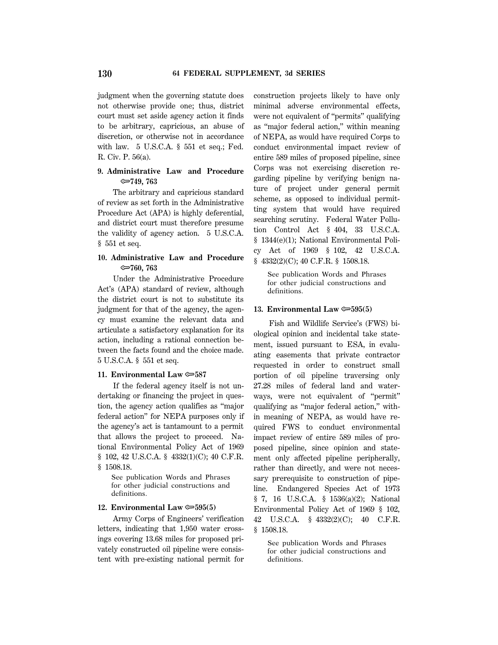judgment when the governing statute does not otherwise provide one; thus, district court must set aside agency action it finds to be arbitrary, capricious, an abuse of discretion, or otherwise not in accordance with law. 5 U.S.C.A. § 551 et seq.; Fed. R. Civ. P. 56(a).

# **9. Administrative Law and Procedure** O**749, 763**

The arbitrary and capricious standard of review as set forth in the Administrative Procedure Act (APA) is highly deferential, and district court must therefore presume the validity of agency action. 5 U.S.C.A. § 551 et seq.

# **10. Administrative Law and Procedure** O**760, 763**

Under the Administrative Procedure Act's (APA) standard of review, although the district court is not to substitute its judgment for that of the agency, the agency must examine the relevant data and articulate a satisfactory explanation for its action, including a rational connection between the facts found and the choice made. 5 U.S.C.A. § 551 et seq.

## **11. Environmental Law**  $\approx 587$

If the federal agency itself is not undertaking or financing the project in question, the agency action qualifies as ''major federal action'' for NEPA purposes only if the agency's act is tantamount to a permit that allows the project to proceed. National Environmental Policy Act of 1969 § 102, 42 U.S.C.A. § 4332(1)(C); 40 C.F.R. § 1508.18.

See publication Words and Phrases for other judicial constructions and definitions.

## **12. Environmental Law**  $\approx 595(5)$

Army Corps of Engineers' verification letters, indicating that 1,950 water crossings covering 13.68 miles for proposed privately constructed oil pipeline were consistent with pre-existing national permit for construction projects likely to have only minimal adverse environmental effects, were not equivalent of ''permits'' qualifying as ''major federal action,'' within meaning of NEPA, as would have required Corps to conduct environmental impact review of entire 589 miles of proposed pipeline, since Corps was not exercising discretion regarding pipeline by verifying benign nature of project under general permit scheme, as opposed to individual permitting system that would have required searching scrutiny. Federal Water Pollution Control Act § 404, 33 U.S.C.A. § 1344(e)(1); National Environmental Policy Act of 1969 § 102, 42 U.S.C.A. § 4332(2)(C); 40 C.F.R. § 1508.18.

See publication Words and Phrases for other judicial constructions and definitions.

#### **13. Environmental Law**  $\approx 595(5)$

Fish and Wildlife Service's (FWS) biological opinion and incidental take statement, issued pursuant to ESA, in evaluating easements that private contractor requested in order to construct small portion of oil pipeline traversing only 27.28 miles of federal land and waterways, were not equivalent of ''permit'' qualifying as ''major federal action,'' within meaning of NEPA, as would have required FWS to conduct environmental impact review of entire 589 miles of proposed pipeline, since opinion and statement only affected pipeline peripherally, rather than directly, and were not necessary prerequisite to construction of pipeline. Endangered Species Act of 1973 § 7, 16 U.S.C.A. § 1536(a)(2); National Environmental Policy Act of 1969 § 102, 42 U.S.C.A. § 4332(2)(C); 40 C.F.R. § 1508.18.

See publication Words and Phrases for other judicial constructions and definitions.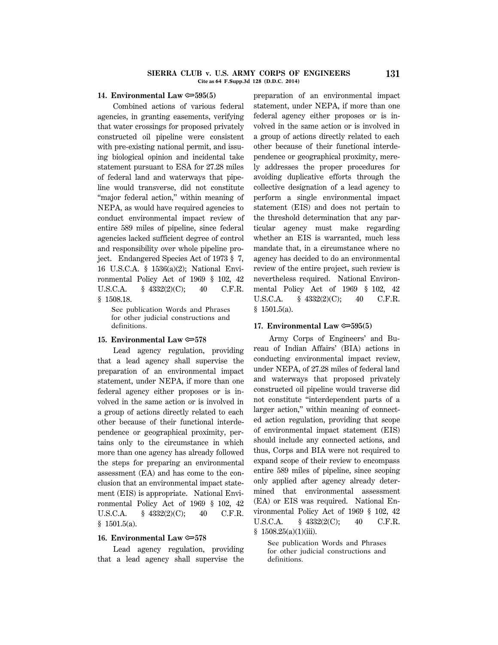#### **SIERRA CLUB v. U.S. ARMY CORPS OF ENGINEERS 131 Cite as 64 F.Supp.3d 128 (D.D.C. 2014)**

### **14. Environmental Law** O**595(5)**

Combined actions of various federal agencies, in granting easements, verifying that water crossings for proposed privately constructed oil pipeline were consistent with pre-existing national permit, and issuing biological opinion and incidental take statement pursuant to ESA for 27.28 miles of federal land and waterways that pipeline would transverse, did not constitute "major federal action," within meaning of NEPA, as would have required agencies to conduct environmental impact review of entire 589 miles of pipeline, since federal agencies lacked sufficient degree of control and responsibility over whole pipeline project. Endangered Species Act of 1973 § 7, 16 U.S.C.A. § 1536(a)(2); National Environmental Policy Act of 1969 § 102, 42 U.S.C.A. § 4332(2)(C); 40 C.F.R. § 1508.18.

See publication Words and Phrases for other judicial constructions and definitions.

### **15. Environmental Law**  $\approx 578$

Lead agency regulation, providing that a lead agency shall supervise the preparation of an environmental impact statement, under NEPA, if more than one federal agency either proposes or is involved in the same action or is involved in a group of actions directly related to each other because of their functional interdependence or geographical proximity, pertains only to the circumstance in which more than one agency has already followed the steps for preparing an environmental assessment (EA) and has come to the conclusion that an environmental impact statement (EIS) is appropriate. National Environmental Policy Act of 1969 § 102, 42 U.S.C.A. § 4332(2)(C); 40 C.F.R.  $$1501.5(a).$ 

## **16. Environmental Law** O**578**

Lead agency regulation, providing that a lead agency shall supervise the preparation of an environmental impact statement, under NEPA, if more than one federal agency either proposes or is involved in the same action or is involved in a group of actions directly related to each other because of their functional interdependence or geographical proximity, merely addresses the proper procedures for avoiding duplicative efforts through the collective designation of a lead agency to perform a single environmental impact statement (EIS) and does not pertain to the threshold determination that any particular agency must make regarding whether an EIS is warranted, much less mandate that, in a circumstance where no agency has decided to do an environmental review of the entire project, such review is nevertheless required. National Environmental Policy Act of 1969 § 102, 42 U.S.C.A. § 4332(2)(C); 40 C.F.R.  $$1501.5(a).$ 

### **17. Environmental Law**  $\approx 595(5)$

Army Corps of Engineers' and Bureau of Indian Affairs' (BIA) actions in conducting environmental impact review, under NEPA, of 27.28 miles of federal land and waterways that proposed privately constructed oil pipeline would traverse did not constitute ''interdependent parts of a larger action,'' within meaning of connected action regulation, providing that scope of environmental impact statement (EIS) should include any connected actions, and thus, Corps and BIA were not required to expand scope of their review to encompass entire 589 miles of pipeline, since scoping only applied after agency already determined that environmental assessment (EA) or EIS was required. National Environmental Policy Act of 1969 § 102, 42 U.S.C.A. § 4332(2(C); 40 C.F.R.  $$1508.25(a)(1)(iii).$ 

See publication Words and Phrases for other judicial constructions and definitions.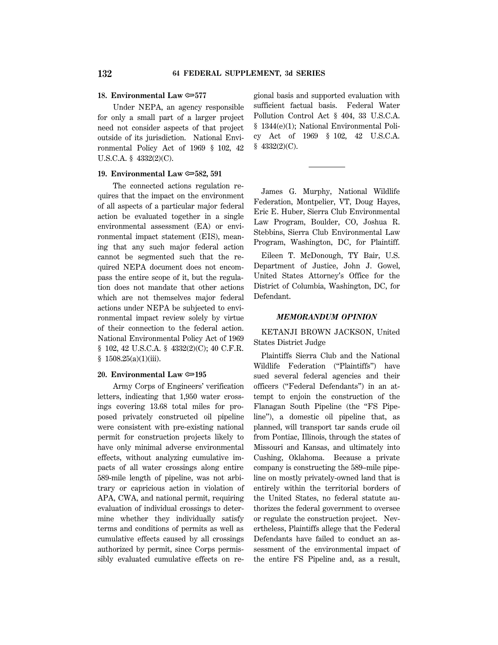#### **18. Environmental Law** O**577**

Under NEPA, an agency responsible for only a small part of a larger project need not consider aspects of that project outside of its jurisdiction. National Environmental Policy Act of 1969 § 102, 42 U.S.C.A. § 4332(2)(C).

## **19. Environmental Law** O**582, 591**

The connected actions regulation requires that the impact on the environment of all aspects of a particular major federal action be evaluated together in a single environmental assessment (EA) or environmental impact statement (EIS), meaning that any such major federal action cannot be segmented such that the required NEPA document does not encompass the entire scope of it, but the regulation does not mandate that other actions which are not themselves major federal actions under NEPA be subjected to environmental impact review solely by virtue of their connection to the federal action. National Environmental Policy Act of 1969 § 102, 42 U.S.C.A. § 4332(2)(C); 40 C.F.R.  $$1508.25(a)(1)(iii).$ 

## **20. Environmental Law**  $\approx 195$

Army Corps of Engineers' verification letters, indicating that 1,950 water crossings covering 13.68 total miles for proposed privately constructed oil pipeline were consistent with pre-existing national permit for construction projects likely to have only minimal adverse environmental effects, without analyzing cumulative impacts of all water crossings along entire 589-mile length of pipeline, was not arbitrary or capricious action in violation of APA, CWA, and national permit, requiring evaluation of individual crossings to determine whether they individually satisfy terms and conditions of permits as well as cumulative effects caused by all crossings authorized by permit, since Corps permissibly evaluated cumulative effects on re-

gional basis and supported evaluation with sufficient factual basis. Federal Water Pollution Control Act § 404, 33 U.S.C.A. § 1344(e)(1); National Environmental Policy Act of 1969 § 102, 42 U.S.C.A. § 4332(2)(C).

James G. Murphy, National Wildlife Federation, Montpelier, VT, Doug Hayes, Eric E. Huber, Sierra Club Environmental Law Program, Boulder, CO, Joshua R. Stebbins, Sierra Club Environmental Law Program, Washington, DC, for Plaintiff.

Eileen T. McDonough, TY Bair, U.S. Department of Justice, John J. Gowel, United States Attorney's Office for the District of Columbia, Washington, DC, for Defendant.

#### *MEMORANDUM OPINION*

KETANJI BROWN JACKSON, United States District Judge

Plaintiffs Sierra Club and the National Wildlife Federation (''Plaintiffs'') have sued several federal agencies and their officers (''Federal Defendants'') in an attempt to enjoin the construction of the Flanagan South Pipeline (the "FS Pipeline''), a domestic oil pipeline that, as planned, will transport tar sands crude oil from Pontiac, Illinois, through the states of Missouri and Kansas, and ultimately into Cushing, Oklahoma. Because a private company is constructing the 589–mile pipeline on mostly privately-owned land that is entirely within the territorial borders of the United States, no federal statute authorizes the federal government to oversee or regulate the construction project. Nevertheless, Plaintiffs allege that the Federal Defendants have failed to conduct an assessment of the environmental impact of the entire FS Pipeline and, as a result,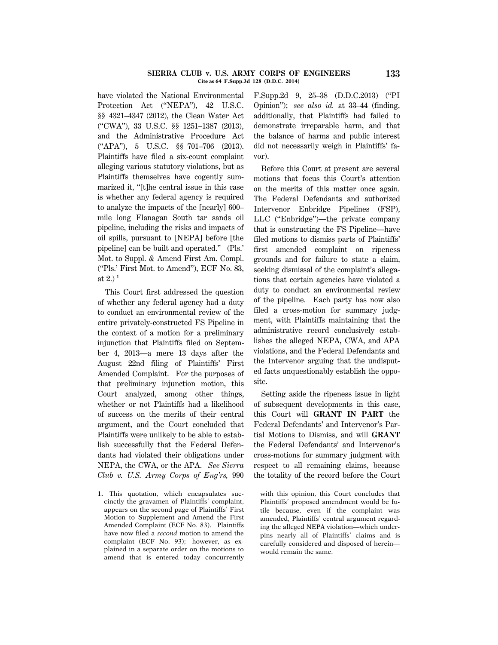### **SIERRA CLUB v. U.S. ARMY CORPS OF ENGINEERS 133 Cite as 64 F.Supp.3d 128 (D.D.C. 2014)**

have violated the National Environmental Protection Act ("NEPA"), 42 U.S.C. §§ 4321–4347 (2012), the Clean Water Act (''CWA''), 33 U.S.C. §§ 1251–1387 (2013), and the Administrative Procedure Act (''APA''), 5 U.S.C. §§ 701–706 (2013). Plaintiffs have filed a six-count complaint alleging various statutory violations, but as Plaintiffs themselves have cogently summarized it, ''[t]he central issue in this case is whether any federal agency is required to analyze the impacts of the [nearly] 600– mile long Flanagan South tar sands oil pipeline, including the risks and impacts of oil spills, pursuant to [NEPA] before [the pipeline] can be built and operated.'' (Pls.' Mot. to Suppl. & Amend First Am. Compl. (''Pls.' First Mot. to Amend''), ECF No. 83, at 2.) **<sup>1</sup>**

This Court first addressed the question of whether any federal agency had a duty to conduct an environmental review of the entire privately-constructed FS Pipeline in the context of a motion for a preliminary injunction that Plaintiffs filed on September 4, 2013—a mere 13 days after the August 22nd filing of Plaintiffs' First Amended Complaint. For the purposes of that preliminary injunction motion, this Court analyzed, among other things, whether or not Plaintiffs had a likelihood of success on the merits of their central argument, and the Court concluded that Plaintiffs were unlikely to be able to establish successfully that the Federal Defendants had violated their obligations under NEPA, the CWA, or the APA. *See Sierra Club v. U.S. Army Corps of Eng'rs,* 990

**1.** This quotation, which encapsulates succinctly the gravamen of Plaintiffs' complaint, appears on the second page of Plaintiffs' First Motion to Supplement and Amend the First Amended Complaint (ECF No. 83). Plaintiffs have now filed a *second* motion to amend the complaint (ECF No. 93); however, as explained in a separate order on the motions to amend that is entered today concurrently F.Supp.2d 9, 25–38 (D.D.C.2013) (''PI Opinion''); *see also id.* at 33–44 (finding, additionally, that Plaintiffs had failed to demonstrate irreparable harm, and that the balance of harms and public interest did not necessarily weigh in Plaintiffs' favor).

Before this Court at present are several motions that focus this Court's attention on the merits of this matter once again. The Federal Defendants and authorized Intervenor Enbridge Pipelines (FSP), LLC (''Enbridge'')—the private company that is constructing the FS Pipeline—have filed motions to dismiss parts of Plaintiffs' first amended complaint on ripeness grounds and for failure to state a claim, seeking dismissal of the complaint's allegations that certain agencies have violated a duty to conduct an environmental review of the pipeline. Each party has now also filed a cross-motion for summary judgment, with Plaintiffs maintaining that the administrative record conclusively establishes the alleged NEPA, CWA, and APA violations, and the Federal Defendants and the Intervenor arguing that the undisputed facts unquestionably establish the opposite.

Setting aside the ripeness issue in light of subsequent developments in this case, this Court will **GRANT IN PART** the Federal Defendants' and Intervenor's Partial Motions to Dismiss, and will **GRANT** the Federal Defendants' and Intervenor's cross-motions for summary judgment with respect to all remaining claims, because the totality of the record before the Court

with this opinion, this Court concludes that Plaintiffs' proposed amendment would be futile because, even if the complaint was amended, Plaintiffs' central argument regarding the alleged NEPA violation—which underpins nearly all of Plaintiffs' claims and is carefully considered and disposed of herein would remain the same.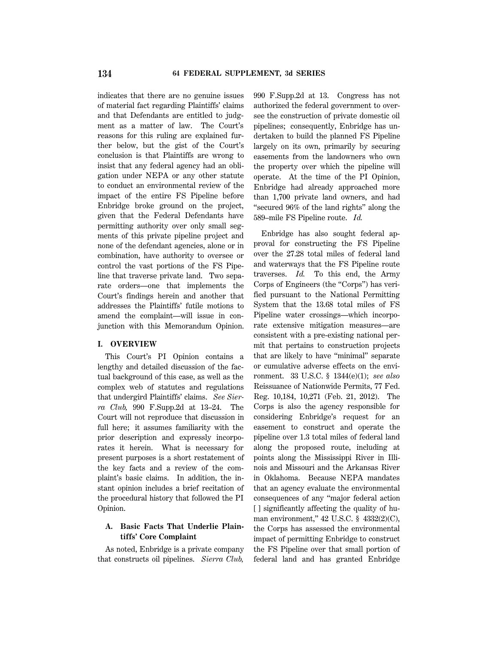indicates that there are no genuine issues of material fact regarding Plaintiffs' claims and that Defendants are entitled to judgment as a matter of law. The Court's reasons for this ruling are explained further below, but the gist of the Court's conclusion is that Plaintiffs are wrong to insist that any federal agency had an obligation under NEPA or any other statute to conduct an environmental review of the impact of the entire FS Pipeline before Enbridge broke ground on the project, given that the Federal Defendants have permitting authority over only small segments of this private pipeline project and none of the defendant agencies, alone or in combination, have authority to oversee or control the vast portions of the FS Pipeline that traverse private land. Two separate orders—one that implements the Court's findings herein and another that addresses the Plaintiffs' futile motions to amend the complaint—will issue in conjunction with this Memorandum Opinion.

## **I. OVERVIEW**

This Court's PI Opinion contains a lengthy and detailed discussion of the factual background of this case, as well as the complex web of statutes and regulations that undergird Plaintiffs' claims. *See Sierra Club,* 990 F.Supp.2d at 13–24. The Court will not reproduce that discussion in full here; it assumes familiarity with the prior description and expressly incorporates it herein. What is necessary for present purposes is a short restatement of the key facts and a review of the complaint's basic claims. In addition, the instant opinion includes a brief recitation of the procedural history that followed the PI Opinion.

## **A. Basic Facts That Underlie Plaintiffs' Core Complaint**

As noted, Enbridge is a private company that constructs oil pipelines. *Sierra Club,*

990 F.Supp.2d at 13. Congress has not authorized the federal government to oversee the construction of private domestic oil pipelines; consequently, Enbridge has undertaken to build the planned FS Pipeline largely on its own, primarily by securing easements from the landowners who own the property over which the pipeline will operate. At the time of the PI Opinion, Enbridge had already approached more than 1,700 private land owners, and had ''secured 96% of the land rights'' along the 589–mile FS Pipeline route. *Id.*

Enbridge has also sought federal approval for constructing the FS Pipeline over the 27.28 total miles of federal land and waterways that the FS Pipeline route traverses. *Id.* To this end, the Army Corps of Engineers (the ''Corps'') has verified pursuant to the National Permitting System that the 13.68 total miles of FS Pipeline water crossings—which incorporate extensive mitigation measures—are consistent with a pre-existing national permit that pertains to construction projects that are likely to have ''minimal'' separate or cumulative adverse effects on the environment. 33 U.S.C. § 1344(e)(1); *see also* Reissuance of Nationwide Permits, 77 Fed. Reg. 10,184, 10,271 (Feb. 21, 2012). The Corps is also the agency responsible for considering Enbridge's request for an easement to construct and operate the pipeline over 1.3 total miles of federal land along the proposed route, including at points along the Mississippi River in Illinois and Missouri and the Arkansas River in Oklahoma. Because NEPA mandates that an agency evaluate the environmental consequences of any ''major federal action [ ] significantly affecting the quality of human environment," 42 U.S.C. § 4332(2)(C), the Corps has assessed the environmental impact of permitting Enbridge to construct the FS Pipeline over that small portion of federal land and has granted Enbridge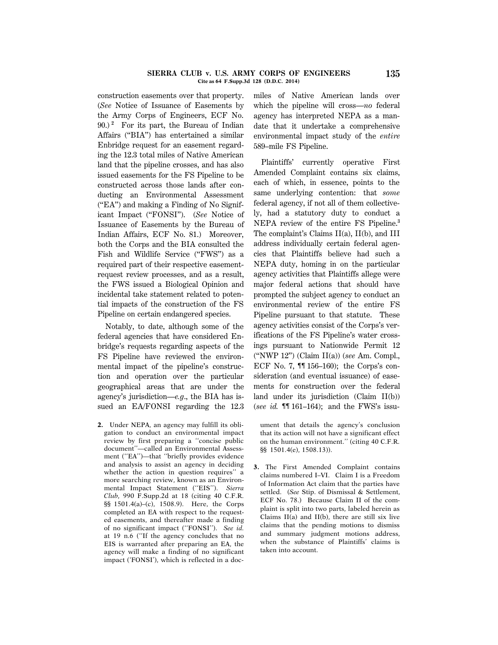### **SIERRA CLUB v. U.S. ARMY CORPS OF ENGINEERS 135 Cite as 64 F.Supp.3d 128 (D.D.C. 2014)**

construction easements over that property. (*See* Notice of Issuance of Easements by the Army Corps of Engineers, ECF No. 90.) **<sup>2</sup>** For its part, the Bureau of Indian Affairs (''BIA'') has entertained a similar Enbridge request for an easement regarding the 12.3 total miles of Native American land that the pipeline crosses, and has also issued easements for the FS Pipeline to be constructed across those lands after conducting an Environmental Assessment (''EA'') and making a Finding of No Significant Impact (''FONSI''). (*See* Notice of Issuance of Easements by the Bureau of Indian Affairs, ECF No. 81.) Moreover, both the Corps and the BIA consulted the Fish and Wildlife Service ("FWS") as a required part of their respective easementrequest review processes, and as a result, the FWS issued a Biological Opinion and incidental take statement related to potential impacts of the construction of the FS Pipeline on certain endangered species.

Notably, to date, although some of the federal agencies that have considered Enbridge's requests regarding aspects of the FS Pipeline have reviewed the environmental impact of the pipeline's construction and operation over the particular geographical areas that are under the agency's jurisdiction—*e.g*., the BIA has issued an EA/FONSI regarding the 12.3

**2.** Under NEPA, an agency may fulfill its obligation to conduct an environmental impact review by first preparing a ''concise public document''—called an Environmental Assessment (''EA'')—that ''briefly provides evidence and analysis to assist an agency in deciding whether the action in question requires'' a more searching review, known as an Environmental Impact Statement (''EIS''). *Sierra Club,* 990 F.Supp.2d at 18 (citing 40 C.F.R. §§ 1501.4(a)–(c), 1508.9). Here, the Corps completed an EA with respect to the requested easements, and thereafter made a finding of no significant impact (''FONSI''). *See id.* at 19 n.6 (''If the agency concludes that no EIS is warranted after preparing an EA, the agency will make a finding of no significant impact ('FONSI'), which is reflected in a docmiles of Native American lands over which the pipeline will cross—*no* federal agency has interpreted NEPA as a mandate that it undertake a comprehensive environmental impact study of the *entire* 589–mile FS Pipeline.

Plaintiffs' currently operative First Amended Complaint contains six claims, each of which, in essence, points to the same underlying contention: that *some* federal agency, if not all of them collectively, had a statutory duty to conduct a NEPA review of the entire FS Pipeline.**<sup>3</sup>** The complaint's Claims II(a), II(b), and III address individually certain federal agencies that Plaintiffs believe had such a NEPA duty, homing in on the particular agency activities that Plaintiffs allege were major federal actions that should have prompted the subject agency to conduct an environmental review of the entire FS Pipeline pursuant to that statute. These agency activities consist of the Corps's verifications of the FS Pipeline's water crossings pursuant to Nationwide Permit 12 (''NWP 12'') (Claim II(a)) (*see* Am. Compl., ECF No. 7, ¶¶ 156–160); the Corps's consideration (and eventual issuance) of easements for construction over the federal land under its jurisdiction (Claim II(b)) (*see id.* ¶¶ 161–164); and the FWS's issu-

ument that details the agency's conclusion that its action will not have a significant effect on the human environment.'' (citing 40 C.F.R. §§ 1501.4(e), 1508.13)).

**3.** The First Amended Complaint contains claims numbered I–VI. Claim I is a Freedom of Information Act claim that the parties have settled. (*See* Stip. of Dismissal & Settlement, ECF No. 78.) Because Claim II of the complaint is split into two parts, labeled herein as Claims  $II(a)$  and  $II(b)$ , there are still six live claims that the pending motions to dismiss and summary judgment motions address, when the substance of Plaintiffs' claims is taken into account.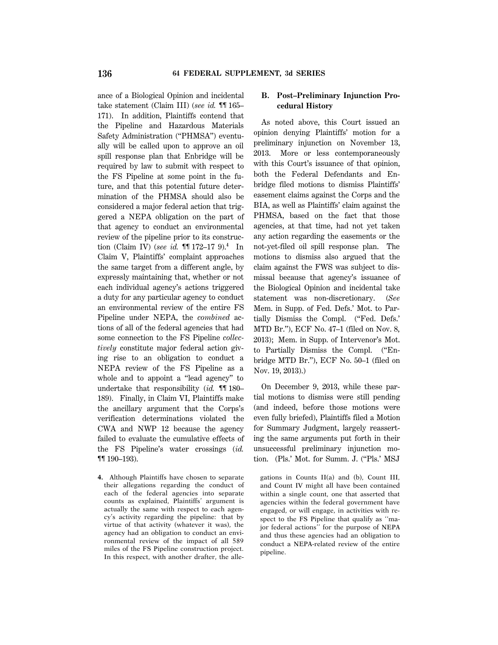ance of a Biological Opinion and incidental take statement (Claim III) (*see id.* ¶¶ 165– 171). In addition, Plaintiffs contend that the Pipeline and Hazardous Materials Safety Administration (''PHMSA'') eventually will be called upon to approve an oil spill response plan that Enbridge will be required by law to submit with respect to the FS Pipeline at some point in the future, and that this potential future determination of the PHMSA should also be considered a major federal action that triggered a NEPA obligation on the part of that agency to conduct an environmental review of the pipeline prior to its construction (Claim IV) (*see id.* ¶¶ 172–17 9).**<sup>4</sup>** In Claim V, Plaintiffs' complaint approaches the same target from a different angle, by expressly maintaining that, whether or not each individual agency's actions triggered a duty for any particular agency to conduct an environmental review of the entire FS Pipeline under NEPA, the *combined* actions of all of the federal agencies that had some connection to the FS Pipeline *collectively* constitute major federal action giving rise to an obligation to conduct a NEPA review of the FS Pipeline as a whole and to appoint a ''lead agency'' to undertake that responsibility (*id.* ¶¶ 180– 189). Finally, in Claim VI, Plaintiffs make the ancillary argument that the Corps's verification determinations violated the CWA and NWP 12 because the agency failed to evaluate the cumulative effects of the FS Pipeline's water crossings (*id.* ¶¶ 190–193).

**4.** Although Plaintiffs have chosen to separate their allegations regarding the conduct of each of the federal agencies into separate counts as explained, Plaintiffs' argument is actually the same with respect to each agency's activity regarding the pipeline: that by virtue of that activity (whatever it was), the agency had an obligation to conduct an environmental review of the impact of all 589 miles of the FS Pipeline construction project. In this respect, with another drafter, the alle-

# **B. Post–Preliminary Injunction Procedural History**

As noted above, this Court issued an opinion denying Plaintiffs' motion for a preliminary injunction on November 13, 2013. More or less contemporaneously with this Court's issuance of that opinion, both the Federal Defendants and Enbridge filed motions to dismiss Plaintiffs' easement claims against the Corps and the BIA, as well as Plaintiffs' claim against the PHMSA, based on the fact that those agencies, at that time, had not yet taken any action regarding the easements or the not-yet-filed oil spill response plan. The motions to dismiss also argued that the claim against the FWS was subject to dismissal because that agency's issuance of the Biological Opinion and incidental take statement was non-discretionary. (*See* Mem. in Supp. of Fed. Defs.' Mot. to Partially Dismiss the Compl. ("Fed. Defs." MTD Br.''), ECF No. 47–1 (filed on Nov. 8, 2013); Mem. in Supp. of Intervenor's Mot. to Partially Dismiss the Compl. (''Enbridge MTD Br.''), ECF No. 50–1 (filed on Nov. 19, 2013).)

On December 9, 2013, while these partial motions to dismiss were still pending (and indeed, before those motions were even fully briefed), Plaintiffs filed a Motion for Summary Judgment, largely reasserting the same arguments put forth in their unsuccessful preliminary injunction motion. (Pls.' Mot. for Summ. J. ("Pls.' MSJ

gations in Counts II(a) and (b), Count III, and Count IV might all have been contained within a single count, one that asserted that agencies within the federal government have engaged, or will engage, in activities with respect to the FS Pipeline that qualify as ''major federal actions'' for the purpose of NEPA and thus these agencies had an obligation to conduct a NEPA-related review of the entire pipeline.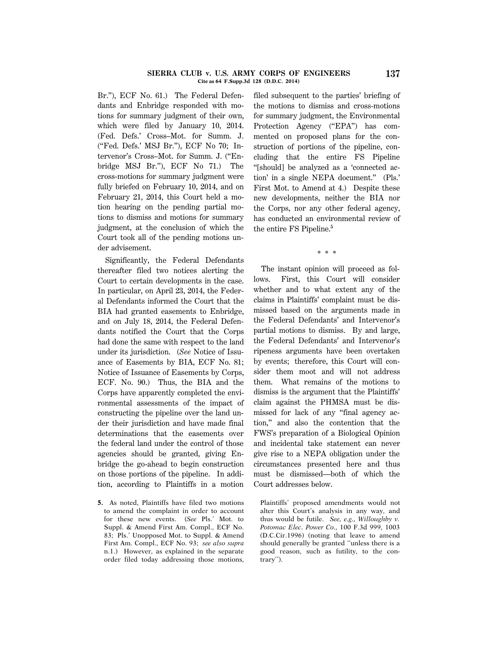### **SIERRA CLUB v. U.S. ARMY CORPS OF ENGINEERS 137 Cite as 64 F.Supp.3d 128 (D.D.C. 2014)**

Br.''), ECF No. 61.) The Federal Defendants and Enbridge responded with motions for summary judgment of their own, which were filed by January 10, 2014. (Fed. Defs.' Cross–Mot. for Summ. J. (''Fed. Defs.' MSJ Br.''), ECF No 70; Intervenor's Cross–Mot. for Summ. J. (''Enbridge MSJ Br.''), ECF No 71.) The cross-motions for summary judgment were fully briefed on February 10, 2014, and on February 21, 2014, this Court held a motion hearing on the pending partial motions to dismiss and motions for summary judgment, at the conclusion of which the Court took all of the pending motions under advisement.

Significantly, the Federal Defendants thereafter filed two notices alerting the Court to certain developments in the case. In particular, on April 23, 2014, the Federal Defendants informed the Court that the BIA had granted easements to Enbridge, and on July 18, 2014, the Federal Defendants notified the Court that the Corps had done the same with respect to the land under its jurisdiction. (*See* Notice of Issuance of Easements by BIA, ECF No. 81; Notice of Issuance of Easements by Corps, ECF. No. 90.) Thus, the BIA and the Corps have apparently completed the environmental assessments of the impact of constructing the pipeline over the land under their jurisdiction and have made final determinations that the easements over the federal land under the control of those agencies should be granted, giving Enbridge the go-ahead to begin construction on those portions of the pipeline. In addition, according to Plaintiffs in a motion

**5.** As noted, Plaintiffs have filed two motions to amend the complaint in order to account for these new events. (*See* Pls.' Mot. to Suppl. & Amend First Am. Compl., ECF No. 83; Pls.' Unopposed Mot. to Suppl. & Amend First Am. Compl., ECF No. 93; *see also supra* n.1.) However, as explained in the separate order filed today addressing those motions, filed subsequent to the parties' briefing of the motions to dismiss and cross-motions for summary judgment, the Environmental Protection Agency ("EPA") has commented on proposed plans for the construction of portions of the pipeline, concluding that the entire FS Pipeline ''[should] be analyzed as a 'connected action' in a single NEPA document.'' (Pls.' First Mot. to Amend at 4.) Despite these new developments, neither the BIA nor the Corps, nor any other federal agency, has conducted an environmental review of the entire FS Pipeline.**<sup>5</sup>**

\* \* \*

The instant opinion will proceed as follows. First, this Court will consider whether and to what extent any of the claims in Plaintiffs' complaint must be dismissed based on the arguments made in the Federal Defendants' and Intervenor's partial motions to dismiss. By and large, the Federal Defendants' and Intervenor's ripeness arguments have been overtaken by events; therefore, this Court will consider them moot and will not address them. What remains of the motions to dismiss is the argument that the Plaintiffs' claim against the PHMSA must be dismissed for lack of any ''final agency action,'' and also the contention that the FWS's preparation of a Biological Opinion and incidental take statement can never give rise to a NEPA obligation under the circumstances presented here and thus must be dismissed—both of which the Court addresses below.

Plaintiffs' proposed amendments would not alter this Court's analysis in any way, and thus would be futile. *See, e.g., Willoughby v. Potomac Elec. Power Co.,* 100 F.3d 999, 1003 (D.C.Cir.1996) (noting that leave to amend should generally be granted ''unless there is a good reason, such as futility, to the contrary'').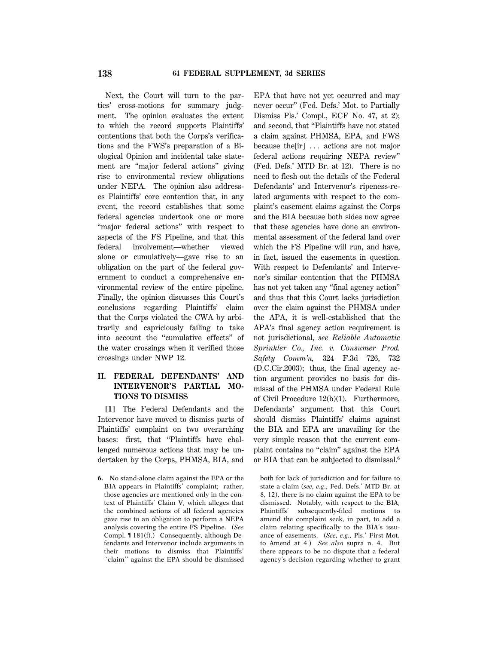Next, the Court will turn to the parties' cross-motions for summary judgment. The opinion evaluates the extent to which the record supports Plaintiffs' contentions that both the Corps's verifications and the FWS's preparation of a Biological Opinion and incidental take statement are ''major federal actions'' giving rise to environmental review obligations under NEPA. The opinion also addresses Plaintiffs' core contention that, in any event, the record establishes that some federal agencies undertook one or more "major federal actions" with respect to aspects of the FS Pipeline, and that this federal involvement—whether viewed alone or cumulatively—gave rise to an obligation on the part of the federal government to conduct a comprehensive environmental review of the entire pipeline. Finally, the opinion discusses this Court's conclusions regarding Plaintiffs' claim that the Corps violated the CWA by arbitrarily and capriciously failing to take into account the ''cumulative effects'' of the water crossings when it verified those crossings under NWP 12.

# **II. FEDERAL DEFENDANTS' AND INTERVENOR'S PARTIAL MO-TIONS TO DISMISS**

**[1]** The Federal Defendants and the Intervenor have moved to dismiss parts of Plaintiffs' complaint on two overarching bases: first, that ''Plaintiffs have challenged numerous actions that may be undertaken by the Corps, PHMSA, BIA, and EPA that have not yet occurred and may never occur'' (Fed. Defs.' Mot. to Partially Dismiss Pls.' Compl., ECF No. 47, at 2); and second, that ''Plaintiffs have not stated a claim against PHMSA, EPA, and FWS because the  $\lceil \text{ir} \rceil$   $\ldots$  actions are not major federal actions requiring NEPA review'' (Fed. Defs.' MTD Br. at 12). There is no need to flesh out the details of the Federal Defendants' and Intervenor's ripeness-related arguments with respect to the complaint's easement claims against the Corps and the BIA because both sides now agree that these agencies have done an environmental assessment of the federal land over which the FS Pipeline will run, and have, in fact, issued the easements in question. With respect to Defendants' and Intervenor's similar contention that the PHMSA has not yet taken any ''final agency action'' and thus that this Court lacks jurisdiction over the claim against the PHMSA under the APA, it is well-established that the APA's final agency action requirement is not jurisdictional, *see Reliable Automatic Sprinkler Co., Inc. v. Consumer Prod. Safety Comm'n,* 324 F.3d 726, 732 (D.C.Cir.2003); thus, the final agency action argument provides no basis for dismissal of the PHMSA under Federal Rule of Civil Procedure 12(b)(1). Furthermore, Defendants' argument that this Court should dismiss Plaintiffs' claims against the BIA and EPA are unavailing for the very simple reason that the current complaint contains no ''claim'' against the EPA or BIA that can be subjected to dismissal.**<sup>6</sup>**

both for lack of jurisdiction and for failure to state a claim (*see, e.g*., Fed. Defs.' MTD Br. at 8, 12), there is no claim against the EPA to be dismissed. Notably, with respect to the BIA, Plaintiffs' subsequently-filed motions to amend the complaint seek, in part, to add a claim relating specifically to the BIA's issuance of easements. (*See, e.g.,* Pls.' First Mot. to Amend at 4.) *See also* supra n. 4. But there appears to be no dispute that a federal agency's decision regarding whether to grant

**<sup>6.</sup>** No stand-alone claim against the EPA or the BIA appears in Plaintiffs' complaint; rather, those agencies are mentioned only in the context of Plaintiffs' Claim V, which alleges that the combined actions of all federal agencies gave rise to an obligation to perform a NEPA analysis covering the entire FS Pipeline. (*See* Compl. ¶ 181(f).) Consequently, although Defendants and Intervenor include arguments in their motions to dismiss that Plaintiffs' ''claim'' against the EPA should be dismissed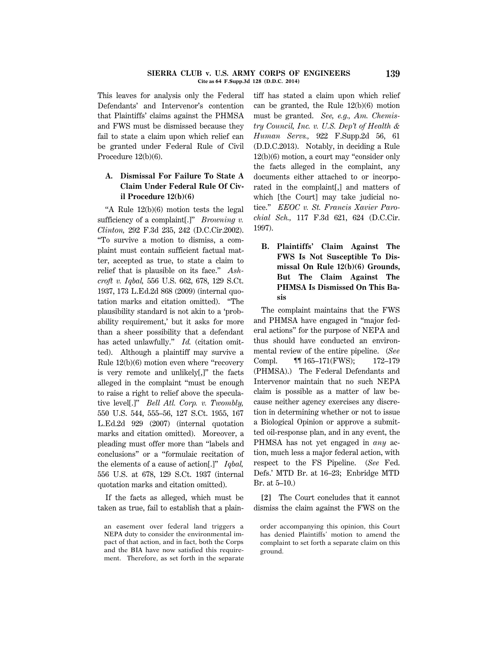### **SIERRA CLUB v. U.S. ARMY CORPS OF ENGINEERS 139 Cite as 64 F.Supp.3d 128 (D.D.C. 2014)**

This leaves for analysis only the Federal Defendants' and Intervenor's contention that Plaintiffs' claims against the PHMSA and FWS must be dismissed because they fail to state a claim upon which relief can be granted under Federal Rule of Civil Procedure 12(b)(6).

# **A. Dismissal For Failure To State A Claim Under Federal Rule Of Civil Procedure 12(b)(6)**

''A Rule 12(b)(6) motion tests the legal sufficiency of a complaint[.]'' *Browning v. Clinton,* 292 F.3d 235, 242 (D.C.Cir.2002). ''To survive a motion to dismiss, a complaint must contain sufficient factual matter, accepted as true, to state a claim to relief that is plausible on its face.'' *Ashcroft v. Iqbal,* 556 U.S. 662, 678, 129 S.Ct. 1937, 173 L.Ed.2d 868 (2009) (internal quotation marks and citation omitted). ''The plausibility standard is not akin to a 'probability requirement,' but it asks for more than a sheer possibility that a defendant has acted unlawfully.'' *Id.* (citation omitted). Although a plaintiff may survive a Rule 12(b)(6) motion even where ''recovery is very remote and unlikely[,]'' the facts alleged in the complaint ''must be enough to raise a right to relief above the speculative level[.]'' *Bell Atl. Corp. v. Twombly,* 550 U.S. 544, 555–56, 127 S.Ct. 1955, 167 L.Ed.2d 929 (2007) (internal quotation marks and citation omitted). Moreover, a pleading must offer more than ''labels and conclusions'' or a ''formulaic recitation of the elements of a cause of action[.]'' *Iqbal,* 556 U.S. at 678, 129 S.Ct. 1937 (internal quotation marks and citation omitted).

If the facts as alleged, which must be taken as true, fail to establish that a plaintiff has stated a claim upon which relief can be granted, the Rule 12(b)(6) motion must be granted. *See, e.g., Am. Chemistry Council, Inc. v. U.S. Dep't of Health & Human Servs.,* 922 F.Supp.2d 56, 61 (D.D.C.2013). Notably, in deciding a Rule 12(b)(6) motion, a court may ''consider only the facts alleged in the complaint, any documents either attached to or incorporated in the complaint[,] and matters of which [the Court] may take judicial notice.'' *EEOC v. St. Francis Xavier Parochial Sch.,* 117 F.3d 621, 624 (D.C.Cir. 1997).

**B. Plaintiffs' Claim Against The FWS Is Not Susceptible To Dismissal On Rule 12(b)(6) Grounds, But The Claim Against The PHMSA Is Dismissed On This Basis**

The complaint maintains that the FWS and PHMSA have engaged in ''major federal actions'' for the purpose of NEPA and thus should have conducted an environmental review of the entire pipeline. (*See* Compl. **11. 11. 11. 11. 11. 11. 11. 11. 11. 11. 11. 11. 11. 11. 11. 11. 11. 11. 11. 11. 11. 11. 11. 11. 11. 11. 11. 11. 11. 11. 11. 11. 11. 11. 11. 11.** (PHMSA).) The Federal Defendants and Intervenor maintain that no such NEPA claim is possible as a matter of law because neither agency exercises any discretion in determining whether or not to issue a Biological Opinion or approve a submitted oil-response plan, and in any event, the PHMSA has not yet engaged in *any* action, much less a major federal action, with respect to the FS Pipeline. (*See* Fed. Defs.' MTD Br. at 16–23; Enbridge MTD Br. at 5–10.)

**[2]** The Court concludes that it cannot dismiss the claim against the FWS on the

an easement over federal land triggers a NEPA duty to consider the environmental impact of that action, and in fact, both the Corps and the BIA have now satisfied this requirement. Therefore, as set forth in the separate

order accompanying this opinion, this Court has denied Plaintiffs' motion to amend the complaint to set forth a separate claim on this ground.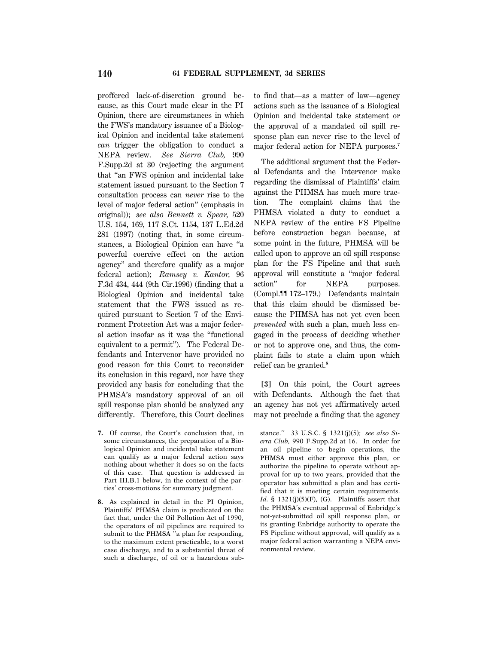proffered lack-of-discretion ground because, as this Court made clear in the PI Opinion, there are circumstances in which the FWS's mandatory issuance of a Biological Opinion and incidental take statement *can* trigger the obligation to conduct a NEPA review. *See Sierra Club,* 990 F.Supp.2d at 30 (rejecting the argument that ''an FWS opinion and incidental take statement issued pursuant to the Section 7 consultation process can *never* rise to the level of major federal action'' (emphasis in original)); *see also Bennett v. Spear,* 520 U.S. 154, 169, 117 S.Ct. 1154, 137 L.Ed.2d 281 (1997) (noting that, in some circumstances, a Biological Opinion can have ''a powerful coercive effect on the action agency'' and therefore qualify as a major federal action); *Ramsey v. Kantor,* 96 F.3d 434, 444 (9th Cir.1996) (finding that a Biological Opinion and incidental take statement that the FWS issued as required pursuant to Section 7 of the Environment Protection Act was a major federal action insofar as it was the ''functional equivalent to a permit''). The Federal Defendants and Intervenor have provided no good reason for this Court to reconsider its conclusion in this regard, nor have they provided any basis for concluding that the PHMSA's mandatory approval of an oil spill response plan should be analyzed any differently. Therefore, this Court declines

- **7.** Of course, the Court's conclusion that, in some circumstances, the preparation of a Biological Opinion and incidental take statement can qualify as a major federal action says nothing about whether it does so on the facts of this case. That question is addressed in Part III.B.1 below, in the context of the parties' cross-motions for summary judgment.
- **8.** As explained in detail in the PI Opinion, Plaintiffs' PHMSA claim is predicated on the fact that, under the Oil Pollution Act of 1990, the operators of oil pipelines are required to submit to the PHMSA "a plan for responding, to the maximum extent practicable, to a worst case discharge, and to a substantial threat of such a discharge, of oil or a hazardous sub-

to find that—as a matter of law—agency actions such as the issuance of a Biological Opinion and incidental take statement or the approval of a mandated oil spill response plan can never rise to the level of major federal action for NEPA purposes.**<sup>7</sup>**

The additional argument that the Federal Defendants and the Intervenor make regarding the dismissal of Plaintiffs' claim against the PHMSA has much more traction. The complaint claims that the PHMSA violated a duty to conduct a NEPA review of the entire FS Pipeline before construction began because, at some point in the future, PHMSA will be called upon to approve an oil spill response plan for the FS Pipeline and that such approval will constitute a ''major federal action'' for NEPA purposes. (Compl.¶¶ 172–179.) Defendants maintain that this claim should be dismissed because the PHMSA has not yet even been *presented* with such a plan, much less engaged in the process of deciding whether or not to approve one, and thus, the complaint fails to state a claim upon which relief can be granted.**<sup>8</sup>**

**[3]** On this point, the Court agrees with Defendants. Although the fact that an agency has not yet affirmatively acted may not preclude a finding that the agency

stance.'' 33 U.S.C. § 1321(j)(5); *see also Sierra Club,* 990 F.Supp.2d at 16. In order for an oil pipeline to begin operations, the PHMSA must either approve this plan, or authorize the pipeline to operate without approval for up to two years, provided that the operator has submitted a plan and has certified that it is meeting certain requirements. *Id.* § 1321(j)(5)(F), (G). Plaintiffs assert that the PHMSA's eventual approval of Enbridge's not-yet-submitted oil spill response plan, or its granting Enbridge authority to operate the FS Pipeline without approval, will qualify as a major federal action warranting a NEPA environmental review.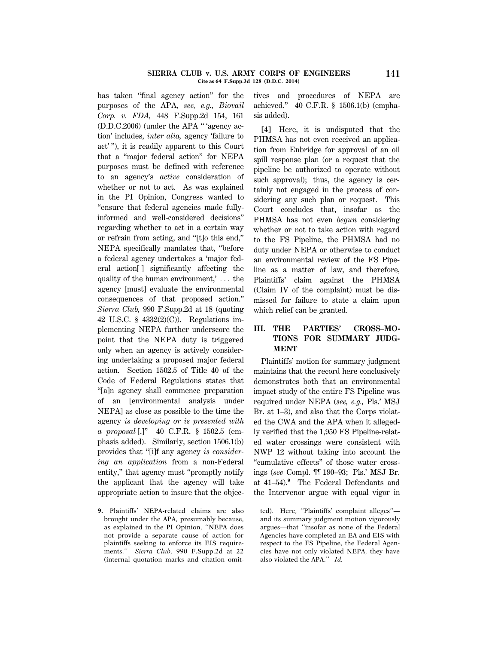### **SIERRA CLUB v. U.S. ARMY CORPS OF ENGINEERS 141 Cite as 64 F.Supp.3d 128 (D.D.C. 2014)**

has taken "final agency action" for the purposes of the APA, *see, e.g., Biovail Corp. v. FDA,* 448 F.Supp.2d 154, 161 (D.D.C.2006) (under the APA '' 'agency action' includes, *inter alia,* agency 'failure to act' ''), it is readily apparent to this Court that a ''major federal action'' for NEPA purposes must be defined with reference to an agency's *active* consideration of whether or not to act. As was explained in the PI Opinion, Congress wanted to ''ensure that federal agencies made fullyinformed and well-considered decisions'' regarding whether to act in a certain way or refrain from acting, and ''[t]o this end,'' NEPA specifically mandates that, ''before a federal agency undertakes a 'major federal action[ ] significantly affecting the quality of the human environment,'  $\dots$  the agency [must] evaluate the environmental consequences of that proposed action.'' *Sierra Club,* 990 F.Supp.2d at 18 (quoting 42 U.S.C. § 4332(2)(C)). Regulations implementing NEPA further underscore the point that the NEPA duty is triggered only when an agency is actively considering undertaking a proposed major federal action. Section 1502.5 of Title 40 of the Code of Federal Regulations states that ''[a]n agency shall commence preparation of an [environmental analysis under NEPA] as close as possible to the time the agency *is developing or is presented with a proposal* [.]'' 40 C.F.R. § 1502.5 (emphasis added). Similarly, section 1506.1(b) provides that ''[i]f any agency *is considering an application* from a non-Federal entity,'' that agency must ''promptly notify the applicant that the agency will take appropriate action to insure that the objec-

**9.** Plaintiffs' NEPA-related claims are also brought under the APA, presumably because, as explained in the PI Opinion, ''NEPA does not provide a separate cause of action for plaintiffs seeking to enforce its EIS requirements.'' *Sierra Club,* 990 F.Supp.2d at 22 (internal quotation marks and citation omittives and procedures of NEPA are achieved.'' 40 C.F.R. § 1506.1(b) (emphasis added).

**[4]** Here, it is undisputed that the PHMSA has not even received an application from Enbridge for approval of an oil spill response plan (or a request that the pipeline be authorized to operate without such approval); thus, the agency is certainly not engaged in the process of considering any such plan or request. This Court concludes that, insofar as the PHMSA has not even *begun* considering whether or not to take action with regard to the FS Pipeline, the PHMSA had no duty under NEPA or otherwise to conduct an environmental review of the FS Pipeline as a matter of law, and therefore, Plaintiffs' claim against the PHMSA (Claim IV of the complaint) must be dismissed for failure to state a claim upon which relief can be granted.

# **III. THE PARTIES' CROSS–MO-TIONS FOR SUMMARY JUDG-MENT**

Plaintiffs' motion for summary judgment maintains that the record here conclusively demonstrates both that an environmental impact study of the entire FS Pipeline was required under NEPA (*see, e.g.,* Pls.' MSJ Br. at 1–3), and also that the Corps violated the CWA and the APA when it allegedly verified that the 1,950 FS Pipeline-related water crossings were consistent with NWP 12 without taking into account the ''cumulative effects'' of those water crossings (*see* Compl. ¶¶ 190–93; Pls.' MSJ Br. at 41–54).**<sup>9</sup>** The Federal Defendants and the Intervenor argue with equal vigor in

ted). Here, ''Plaintiffs' complaint alleges'' and its summary judgment motion vigorously argues—that ''insofar as none of the Federal Agencies have completed an EA and EIS with respect to the FS Pipeline, the Federal Agencies have not only violated NEPA, they have also violated the APA.'' *Id.*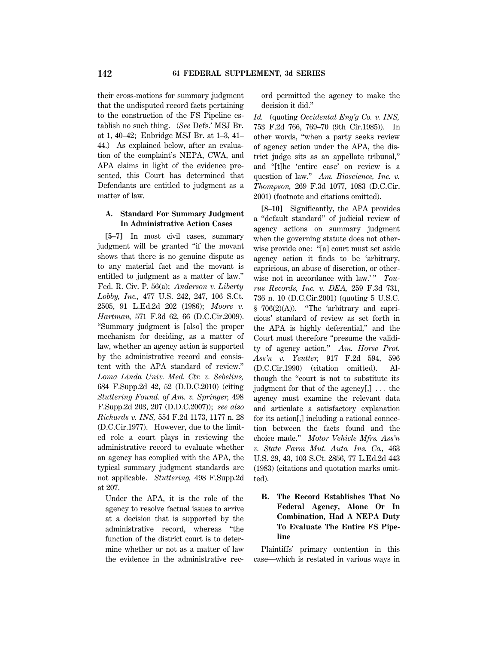their cross-motions for summary judgment that the undisputed record facts pertaining to the construction of the FS Pipeline establish no such thing. (*See* Defs.' MSJ Br. at 1, 40–42; Enbridge MSJ Br. at 1–3, 41– 44.) As explained below, after an evaluation of the complaint's NEPA, CWA, and APA claims in light of the evidence presented, this Court has determined that Defendants are entitled to judgment as a matter of law.

# **A. Standard For Summary Judgment In Administrative Action Cases**

**[5–7]** In most civil cases, summary judgment will be granted ''if the movant shows that there is no genuine dispute as to any material fact and the movant is entitled to judgment as a matter of law.'' Fed. R. Civ. P. 56(a); *Anderson v. Liberty Lobby, Inc.,* 477 U.S. 242, 247, 106 S.Ct. 2505, 91 L.Ed.2d 202 (1986); *Moore v. Hartman,* 571 F.3d 62, 66 (D.C.Cir.2009). ''Summary judgment is [also] the proper mechanism for deciding, as a matter of law, whether an agency action is supported by the administrative record and consistent with the APA standard of review.'' *Loma Linda Univ. Med. Ctr. v. Sebelius,* 684 F.Supp.2d 42, 52 (D.D.C.2010) (citing *Stuttering Found. of Am. v. Springer,* 498 F.Supp.2d 203, 207 (D.D.C.2007)); *see also Richards v. INS,* 554 F.2d 1173, 1177 n. 28 (D.C.Cir.1977). However, due to the limited role a court plays in reviewing the administrative record to evaluate whether an agency has complied with the APA, the typical summary judgment standards are not applicable. *Stuttering,* 498 F.Supp.2d at 207.

Under the APA, it is the role of the agency to resolve factual issues to arrive at a decision that is supported by the administrative record, whereas ''the function of the district court is to determine whether or not as a matter of law the evidence in the administrative record permitted the agency to make the decision it did.''

*Id.* (quoting *Occidental Eng'g Co. v. INS,* 753 F.2d 766, 769–70 (9th Cir.1985)). In other words, ''when a party seeks review of agency action under the APA, the district judge sits as an appellate tribunal,'' and ''[t]he 'entire case' on review is a question of law.'' *Am. Bioscience, Inc. v. Thompson,* 269 F.3d 1077, 1083 (D.C.Cir. 2001) (footnote and citations omitted).

**[8–10]** Significantly, the APA provides a ''default standard'' of judicial review of agency actions on summary judgment when the governing statute does not otherwise provide one: ''[a] court must set aside agency action it finds to be 'arbitrary, capricious, an abuse of discretion, or otherwise not in accordance with law.'" Tou*rus Records, Inc. v. DEA,* 259 F.3d 731, 736 n. 10 (D.C.Cir.2001) (quoting 5 U.S.C. § 706(2)(A)). "The 'arbitrary and capricious' standard of review as set forth in the APA is highly deferential,'' and the Court must therefore ''presume the validity of agency action.'' *Am. Horse Prot. Ass'n v. Yeutter,* 917 F.2d 594, 596 (D.C.Cir.1990) (citation omitted). Although the ''court is not to substitute its judgment for that of the agency $[$ , $]$ ... the agency must examine the relevant data and articulate a satisfactory explanation for its action[,] including a rational connection between the facts found and the choice made.'' *Motor Vehicle Mfrs. Ass'n v. State Farm Mut. Auto. Ins. Co.,* 463 U.S. 29, 43, 103 S.Ct. 2856, 77 L.Ed.2d 443 (1983) (citations and quotation marks omitted).

# **B. The Record Establishes That No Federal Agency, Alone Or In Combination, Had A NEPA Duty To Evaluate The Entire FS Pipeline**

Plaintiffs' primary contention in this case—which is restated in various ways in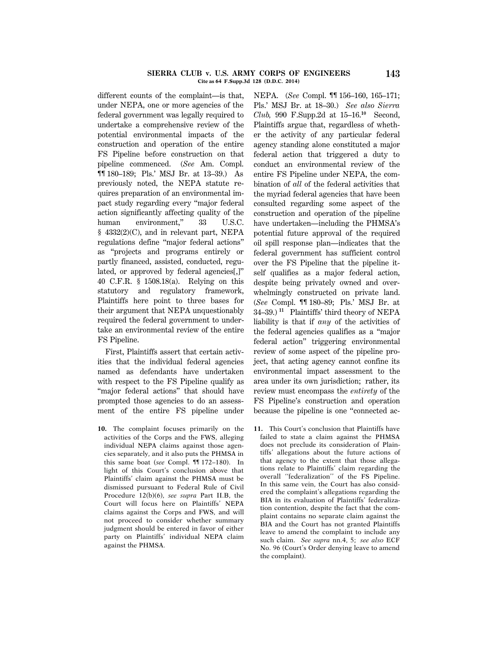#### **SIERRA CLUB v. U.S. ARMY CORPS OF ENGINEERS 143 Cite as 64 F.Supp.3d 128 (D.D.C. 2014)**

different counts of the complaint—is that, under NEPA, one or more agencies of the federal government was legally required to undertake a comprehensive review of the potential environmental impacts of the construction and operation of the entire FS Pipeline before construction on that pipeline commenced. (*See* Am. Compl. ¶¶ 180–189; Pls.' MSJ Br. at 13–39.) As previously noted, the NEPA statute requires preparation of an environmental impact study regarding every ''major federal action significantly affecting quality of the human environment," 33 U.S.C. § 4332(2)(C), and in relevant part, NEPA regulations define ''major federal actions'' as ''projects and programs entirely or partly financed, assisted, conducted, regulated, or approved by federal agencies[,]'' 40 C.F.R. § 1508.18(a). Relying on this statutory and regulatory framework, Plaintiffs here point to three bases for their argument that NEPA unquestionably required the federal government to undertake an environmental review of the entire FS Pipeline.

First, Plaintiffs assert that certain activities that the individual federal agencies named as defendants have undertaken with respect to the FS Pipeline qualify as "major federal actions" that should have prompted those agencies to do an assessment of the entire FS pipeline under

**10.** The complaint focuses primarily on the activities of the Corps and the FWS, alleging individual NEPA claims against those agencies separately, and it also puts the PHMSA in this same boat (*see* Compl. ¶¶ 172–180). In light of this Court's conclusion above that Plaintiffs' claim against the PHMSA must be dismissed pursuant to Federal Rule of Civil Procedure 12(b)(6), *see supra* Part II.B, the Court will focus here on Plaintiffs' NEPA claims against the Corps and FWS, and will not proceed to consider whether summary judgment should be entered in favor of either party on Plaintiffs' individual NEPA claim against the PHMSA.

NEPA. (*See* Compl. ¶¶ 156–160, 165–171; Pls.' MSJ Br. at 18–30.) *See also Sierra Club,* 990 F.Supp.2d at 15–16.**<sup>10</sup>** Second, Plaintiffs argue that, regardless of whether the activity of any particular federal agency standing alone constituted a major federal action that triggered a duty to conduct an environmental review of the entire FS Pipeline under NEPA, the combination of *all* of the federal activities that the myriad federal agencies that have been consulted regarding some aspect of the construction and operation of the pipeline have undertaken—including the PHMSA's potential future approval of the required oil spill response plan—indicates that the federal government has sufficient control over the FS Pipeline that the pipeline itself qualifies as a major federal action, despite being privately owned and overwhelmingly constructed on private land. (*See* Compl. ¶¶ 180–89; Pls.' MSJ Br. at 34–39.) **<sup>11</sup>** Plaintiffs' third theory of NEPA liability is that if *any* of the activities of the federal agencies qualifies as a ''major federal action'' triggering environmental review of some aspect of the pipeline project, that acting agency cannot confine its environmental impact assessment to the area under its own jurisdiction; rather, its review must encompass the *entirety* of the FS Pipeline's construction and operation because the pipeline is one ''connected ac-

**11.** This Court's conclusion that Plaintiffs have failed to state a claim against the PHMSA does not preclude its consideration of Plaintiffs' allegations about the future actions of that agency to the extent that those allegations relate to Plaintiffs' claim regarding the overall ''federalization'' of the FS Pipeline. In this same vein, the Court has also considered the complaint's allegations regarding the BIA in its evaluation of Plaintiffs' federalization contention, despite the fact that the complaint contains no separate claim against the BIA and the Court has not granted Plaintiffs leave to amend the complaint to include any such claim. *See supra* nn.4, 5; *see also* ECF No. 96 (Court's Order denying leave to amend the complaint).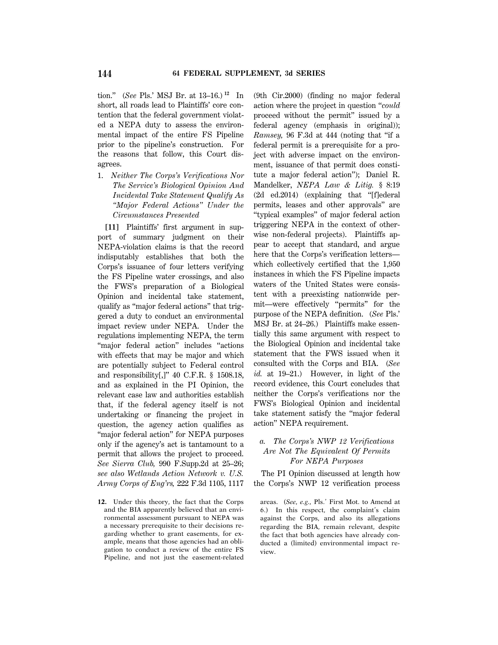tion.'' (*See* Pls.' MSJ Br. at 13–16.) **<sup>12</sup>** In short, all roads lead to Plaintiffs' core contention that the federal government violated a NEPA duty to assess the environmental impact of the entire FS Pipeline prior to the pipeline's construction. For the reasons that follow, this Court disagrees.

1. *Neither The Corps's Verifications Nor The Service's Biological Opinion And Incidental Take Statement Qualify As ''Major Federal Actions'' Under the Circumstances Presented*

**[11]** Plaintiffs' first argument in support of summary judgment on their NEPA-violation claims is that the record indisputably establishes that both the Corps's issuance of four letters verifying the FS Pipeline water crossings, and also the FWS's preparation of a Biological Opinion and incidental take statement, qualify as ''major federal actions'' that triggered a duty to conduct an environmental impact review under NEPA. Under the regulations implementing NEPA, the term ''major federal action'' includes ''actions with effects that may be major and which are potentially subject to Federal control and responsibility[,]'' 40 C.F.R. § 1508.18, and as explained in the PI Opinion, the relevant case law and authorities establish that, if the federal agency itself is not undertaking or financing the project in question, the agency action qualifies as "major federal action" for NEPA purposes only if the agency's act is tantamount to a permit that allows the project to proceed. *See Sierra Club,* 990 F.Supp.2d at 25–26; *see also Wetlands Action Network v. U.S. Army Corps of Eng'rs,* 222 F.3d 1105, 1117

**12.** Under this theory, the fact that the Corps and the BIA apparently believed that an environmental assessment pursuant to NEPA was a necessary prerequisite to their decisions regarding whether to grant easements, for example, means that those agencies had an obligation to conduct a review of the entire FS Pipeline, and not just the easement-related

(9th Cir.2000) (finding no major federal action where the project in question ''*could* proceed without the permit'' issued by a federal agency (emphasis in original)); *Ramsey,* 96 F.3d at 444 (noting that ''if a federal permit is a prerequisite for a project with adverse impact on the environment, issuance of that permit does constitute a major federal action''); Daniel R. Mandelker, *NEPA Law & Litig.* § 8:19 (2d ed.2014) (explaining that ''[f]ederal permits, leases and other approvals'' are ''typical examples'' of major federal action triggering NEPA in the context of otherwise non-federal projects). Plaintiffs appear to accept that standard, and argue here that the Corps's verification letters which collectively certified that the 1,950 instances in which the FS Pipeline impacts waters of the United States were consistent with a preexisting nationwide permit—were effectively ''permits'' for the purpose of the NEPA definition. (*See* Pls.' MSJ Br. at 24–26.) Plaintiffs make essentially this same argument with respect to the Biological Opinion and incidental take statement that the FWS issued when it consulted with the Corps and BIA. (*See id.* at 19–21.) However, in light of the record evidence, this Court concludes that neither the Corps's verifications nor the FWS's Biological Opinion and incidental take statement satisfy the ''major federal action'' NEPA requirement.

# *a. The Corps's NWP 12 Verifications Are Not The Equivalent Of Permits For NEPA Purposes*

The PI Opinion discussed at length how the Corps's NWP 12 verification process

areas. (*See, e.g.,* Pls.' First Mot. to Amend at 6.) In this respect, the complaint's claim against the Corps, and also its allegations regarding the BIA, remain relevant, despite the fact that both agencies have already conducted a (limited) environmental impact review.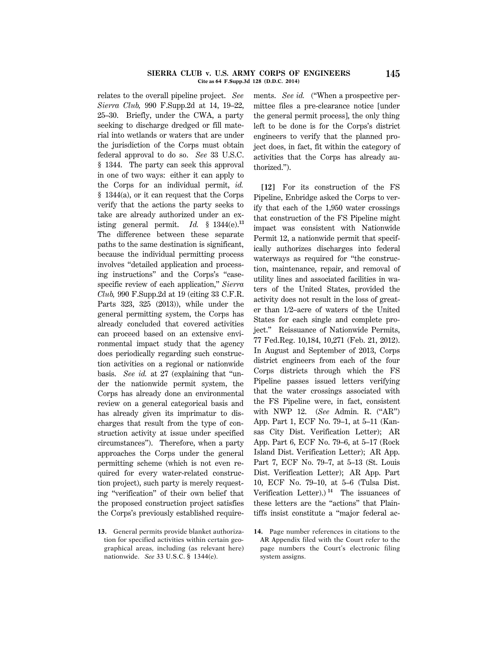#### **SIERRA CLUB v. U.S. ARMY CORPS OF ENGINEERS 145 Cite as 64 F.Supp.3d 128 (D.D.C. 2014)**

relates to the overall pipeline project. *See Sierra Club,* 990 F.Supp.2d at 14, 19–22, 25–30. Briefly, under the CWA, a party seeking to discharge dredged or fill material into wetlands or waters that are under the jurisdiction of the Corps must obtain federal approval to do so. *See* 33 U.S.C. § 1344. The party can seek this approval in one of two ways: either it can apply to the Corps for an individual permit, *id.* § 1344(a), or it can request that the Corps verify that the actions the party seeks to take are already authorized under an existing general permit. *Id.* § 1344(e).**<sup>13</sup>** The difference between these separate paths to the same destination is significant, because the individual permitting process involves ''detailed application and processing instructions'' and the Corps's ''casespecific review of each application,'' *Sierra Club,* 990 F.Supp.2d at 19 (citing 33 C.F.R. Parts 323, 325 (2013)), while under the general permitting system, the Corps has already concluded that covered activities can proceed based on an extensive environmental impact study that the agency does periodically regarding such construction activities on a regional or nationwide basis. *See id.* at 27 (explaining that ''under the nationwide permit system, the Corps has already done an environmental review on a general categorical basis and has already given its imprimatur to discharges that result from the type of construction activity at issue under specified circumstances''). Therefore, when a party approaches the Corps under the general permitting scheme (which is not even required for every water-related construction project), such party is merely requesting ''verification'' of their own belief that the proposed construction project satisfies the Corps's previously established require-

**13.** General permits provide blanket authorization for specified activities within certain geographical areas, including (as relevant here) nationwide. *See* 33 U.S.C. § 1344(e).

ments. *See id.* ("When a prospective permittee files a pre-clearance notice [under the general permit process], the only thing left to be done is for the Corps's district engineers to verify that the planned project does, in fact, fit within the category of activities that the Corps has already authorized.'').

**[12]** For its construction of the FS Pipeline, Enbridge asked the Corps to verify that each of the 1,950 water crossings that construction of the FS Pipeline might impact was consistent with Nationwide Permit 12, a nationwide permit that specifically authorizes discharges into federal waterways as required for ''the construction, maintenance, repair, and removal of utility lines and associated facilities in waters of the United States, provided the activity does not result in the loss of greater than 1/2–acre of waters of the United States for each single and complete project.'' Reissuance of Nationwide Permits, 77 Fed.Reg. 10,184, 10,271 (Feb. 21, 2012). In August and September of 2013, Corps district engineers from each of the four Corps districts through which the FS Pipeline passes issued letters verifying that the water crossings associated with the FS Pipeline were, in fact, consistent with NWP 12. (*See* Admin. R. (''AR'') App. Part 1, ECF No. 79–1, at 5–11 (Kansas City Dist. Verification Letter); AR App. Part 6, ECF No. 79–6, at 5–17 (Rock Island Dist. Verification Letter); AR App. Part 7, ECF No. 79–7, at 5–13 (St. Louis Dist. Verification Letter); AR App. Part 10, ECF No. 79–10, at 5–6 (Tulsa Dist. Verification Letter).)<sup>14</sup> The issuances of these letters are the ''actions'' that Plaintiffs insist constitute a ''major federal ac-

**<sup>14.</sup>** Page number references in citations to the AR Appendix filed with the Court refer to the page numbers the Court's electronic filing system assigns.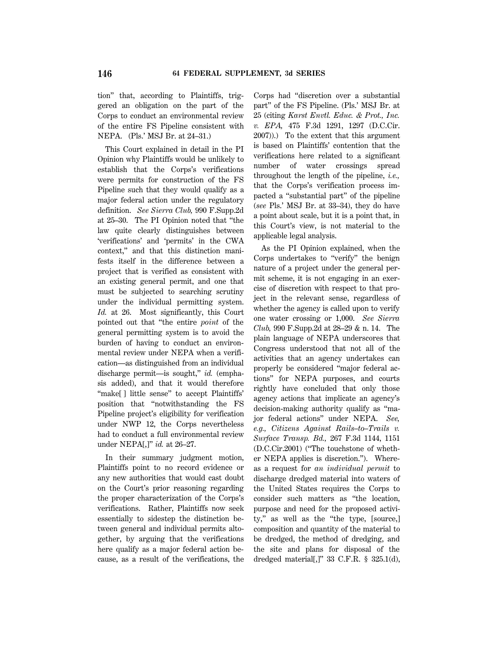tion'' that, according to Plaintiffs, triggered an obligation on the part of the Corps to conduct an environmental review of the entire FS Pipeline consistent with NEPA. (Pls.' MSJ Br. at 24–31.)

This Court explained in detail in the PI Opinion why Plaintiffs would be unlikely to establish that the Corps's verifications were permits for construction of the FS Pipeline such that they would qualify as a major federal action under the regulatory definition. *See Sierra Club,* 990 F.Supp.2d at 25–30. The PI Opinion noted that ''the law quite clearly distinguishes between 'verifications' and 'permits' in the CWA context,'' and that this distinction manifests itself in the difference between a project that is verified as consistent with an existing general permit, and one that must be subjected to searching scrutiny under the individual permitting system. *Id.* at 26. Most significantly, this Court pointed out that ''the entire *point* of the general permitting system is to avoid the burden of having to conduct an environmental review under NEPA when a verification—as distinguished from an individual discharge permit—is sought,'' *id.* (emphasis added), and that it would therefore "make[] little sense" to accept Plaintiffs" position that ''notwithstanding the FS Pipeline project's eligibility for verification under NWP 12, the Corps nevertheless had to conduct a full environmental review under NEPA[,]'' *id.* at 26–27.

In their summary judgment motion, Plaintiffs point to no record evidence or any new authorities that would cast doubt on the Court's prior reasoning regarding the proper characterization of the Corps's verifications. Rather, Plaintiffs now seek essentially to sidestep the distinction between general and individual permits altogether, by arguing that the verifications here qualify as a major federal action because, as a result of the verifications, the Corps had ''discretion over a substantial part'' of the FS Pipeline. (Pls.' MSJ Br. at 25 (citing *Karst Envtl. Educ. & Prot., Inc. v. EPA,* 475 F.3d 1291, 1297 (D.C.Cir. 2007)).) To the extent that this argument is based on Plaintiffs' contention that the verifications here related to a significant number of water crossings spread throughout the length of the pipeline, *i.e.,* that the Corps's verification process impacted a ''substantial part'' of the pipeline (*see* Pls.' MSJ Br. at 33–34), they do have a point about scale, but it is a point that, in this Court's view, is not material to the applicable legal analysis.

As the PI Opinion explained, when the Corps undertakes to ''verify'' the benign nature of a project under the general permit scheme, it is not engaging in an exercise of discretion with respect to that project in the relevant sense, regardless of whether the agency is called upon to verify one water crossing or 1,000. *See Sierra Club,* 990 F.Supp.2d at 28–29 & n. 14. The plain language of NEPA underscores that Congress understood that not all of the activities that an agency undertakes can properly be considered ''major federal actions'' for NEPA purposes, and courts rightly have concluded that only those agency actions that implicate an agency's decision-making authority qualify as ''major federal actions'' under NEPA. *See, e.g., Citizens Against Rails–to–Trails v. Surface Transp. Bd.,* 267 F.3d 1144, 1151 (D.C.Cir.2001) (''The touchstone of whether NEPA applies is discretion.''). Whereas a request for *an individual permit* to discharge dredged material into waters of the United States requires the Corps to consider such matters as ''the location, purpose and need for the proposed activity," as well as the "the type, [source,] composition and quantity of the material to be dredged, the method of dredging, and the site and plans for disposal of the dredged material[,]'' 33 C.F.R. § 325.1(d),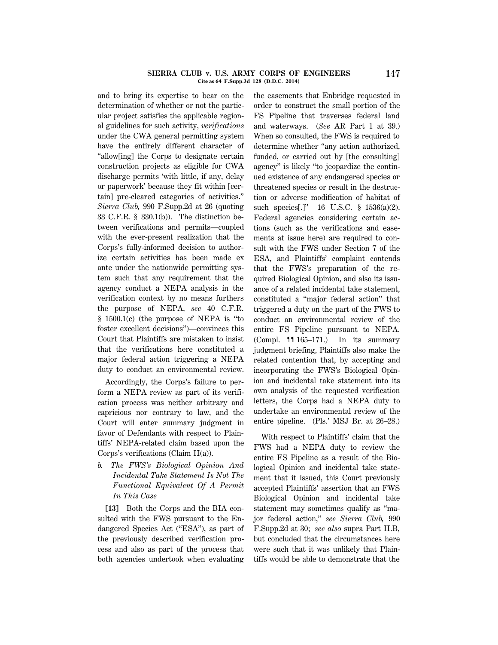#### **SIERRA CLUB v. U.S. ARMY CORPS OF ENGINEERS 147 Cite as 64 F.Supp.3d 128 (D.D.C. 2014)**

and to bring its expertise to bear on the determination of whether or not the particular project satisfies the applicable regional guidelines for such activity, *verifications* under the CWA general permitting system have the entirely different character of ''allow[ing] the Corps to designate certain construction projects as eligible for CWA discharge permits 'with little, if any, delay or paperwork' because they fit within [certain] pre-cleared categories of activities.'' *Sierra Club,* 990 F.Supp.2d at 26 (quoting 33 C.F.R. § 330.1(b)). The distinction between verifications and permits—coupled with the ever-present realization that the Corps's fully-informed decision to authorize certain activities has been made ex ante under the nationwide permitting system such that any requirement that the agency conduct a NEPA analysis in the verification context by no means furthers the purpose of NEPA, *see* 40 C.F.R. § 1500.1(c) (the purpose of NEPA is ''to foster excellent decisions'')—convinces this Court that Plaintiffs are mistaken to insist that the verifications here constituted a major federal action triggering a NEPA duty to conduct an environmental review.

Accordingly, the Corps's failure to perform a NEPA review as part of its verification process was neither arbitrary and capricious nor contrary to law, and the Court will enter summary judgment in favor of Defendants with respect to Plaintiffs' NEPA-related claim based upon the Corps's verifications (Claim II(a)).

*b. The FWS's Biological Opinion And Incidental Take Statement Is Not The Functional Equivalent Of A Permit In This Case*

**[13]** Both the Corps and the BIA consulted with the FWS pursuant to the Endangered Species Act (''ESA''), as part of the previously described verification process and also as part of the process that both agencies undertook when evaluating the easements that Enbridge requested in order to construct the small portion of the FS Pipeline that traverses federal land and waterways. (*See* AR Part 1 at 39.) When so consulted, the FWS is required to determine whether ''any action authorized, funded, or carried out by [the consulting] agency'' is likely ''to jeopardize the continued existence of any endangered species or threatened species or result in the destruction or adverse modification of habitat of such species<sup>[1]</sup>" 16 U.S.C. § 1536(a)(2). Federal agencies considering certain actions (such as the verifications and easements at issue here) are required to consult with the FWS under Section 7 of the ESA, and Plaintiffs' complaint contends that the FWS's preparation of the required Biological Opinion, and also its issuance of a related incidental take statement, constituted a ''major federal action'' that triggered a duty on the part of the FWS to conduct an environmental review of the entire FS Pipeline pursuant to NEPA. (Compl. ¶¶ 165–171.) In its summary judgment briefing, Plaintiffs also make the related contention that, by accepting and incorporating the FWS's Biological Opinion and incidental take statement into its own analysis of the requested verification letters, the Corps had a NEPA duty to undertake an environmental review of the entire pipeline. (Pls.' MSJ Br. at 26–28.)

With respect to Plaintiffs' claim that the FWS had a NEPA duty to review the entire FS Pipeline as a result of the Biological Opinion and incidental take statement that it issued, this Court previously accepted Plaintiffs' assertion that an FWS Biological Opinion and incidental take statement may sometimes qualify as ''major federal action,'' *see Sierra Club,* 990 F.Supp.2d at 30; *see also* supra Part II.B, but concluded that the circumstances here were such that it was unlikely that Plaintiffs would be able to demonstrate that the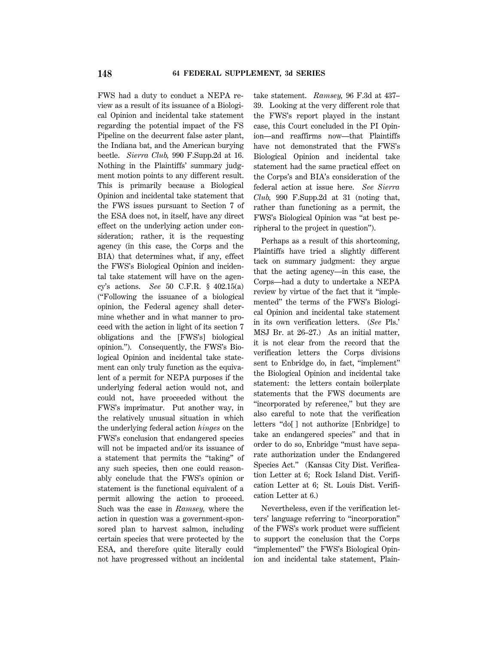FWS had a duty to conduct a NEPA review as a result of its issuance of a Biological Opinion and incidental take statement regarding the potential impact of the FS Pipeline on the decurrent false aster plant, the Indiana bat, and the American burying beetle. *Sierra Club,* 990 F.Supp.2d at 16. Nothing in the Plaintiffs' summary judgment motion points to any different result. This is primarily because a Biological Opinion and incidental take statement that the FWS issues pursuant to Section 7 of the ESA does not, in itself, have any direct effect on the underlying action under consideration; rather, it is the requesting agency (in this case, the Corps and the BIA) that determines what, if any, effect the FWS's Biological Opinion and incidental take statement will have on the agency's actions. *See* 50 C.F.R. § 402.15(a) (''Following the issuance of a biological opinion, the Federal agency shall determine whether and in what manner to proceed with the action in light of its section 7 obligations and the [FWS's] biological opinion.''). Consequently, the FWS's Biological Opinion and incidental take statement can only truly function as the equivalent of a permit for NEPA purposes if the underlying federal action would not, and could not, have proceeded without the FWS's imprimatur. Put another way, in the relatively unusual situation in which the underlying federal action *hinges* on the FWS's conclusion that endangered species will not be impacted and/or its issuance of a statement that permits the ''taking'' of any such species, then one could reasonably conclude that the FWS's opinion or statement is the functional equivalent of a permit allowing the action to proceed. Such was the case in *Ramsey,* where the action in question was a government-sponsored plan to harvest salmon, including certain species that were protected by the ESA, and therefore quite literally could not have progressed without an incidental

take statement. *Ramsey,* 96 F.3d at 437– 39. Looking at the very different role that the FWS's report played in the instant case, this Court concluded in the PI Opinion—and reaffirms now—that Plaintiffs have not demonstrated that the FWS's Biological Opinion and incidental take statement had the same practical effect on the Corps's and BIA's consideration of the federal action at issue here. *See Sierra Club,* 990 F.Supp.2d at 31 (noting that, rather than functioning as a permit, the FWS's Biological Opinion was ''at best peripheral to the project in question'').

Perhaps as a result of this shortcoming, Plaintiffs have tried a slightly different tack on summary judgment: they argue that the acting agency—in this case, the Corps—had a duty to undertake a NEPA review by virtue of the fact that it ''implemented'' the terms of the FWS's Biological Opinion and incidental take statement in its own verification letters. (*See* Pls.' MSJ Br. at 26–27.) As an initial matter, it is not clear from the record that the verification letters the Corps divisions sent to Enbridge do, in fact, ''implement'' the Biological Opinion and incidental take statement: the letters contain boilerplate statements that the FWS documents are ''incorporated by reference,'' but they are also careful to note that the verification letters ''do[ ] not authorize [Enbridge] to take an endangered species'' and that in order to do so, Enbridge ''must have separate authorization under the Endangered Species Act.'' (Kansas City Dist. Verification Letter at 6; Rock Island Dist. Verification Letter at 6; St. Louis Dist. Verification Letter at 6.)

Nevertheless, even if the verification letters' language referring to ''incorporation'' of the FWS's work product were sufficient to support the conclusion that the Corps ''implemented'' the FWS's Biological Opinion and incidental take statement, Plain-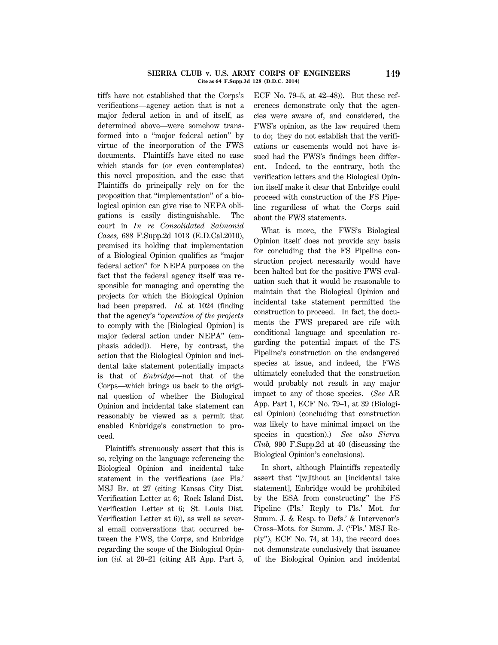#### **SIERRA CLUB v. U.S. ARMY CORPS OF ENGINEERS 149 Cite as 64 F.Supp.3d 128 (D.D.C. 2014)**

tiffs have not established that the Corps's verifications—agency action that is not a major federal action in and of itself, as determined above—were somehow transformed into a ''major federal action'' by virtue of the incorporation of the FWS documents. Plaintiffs have cited no case which stands for (or even contemplates) this novel proposition, and the case that Plaintiffs do principally rely on for the proposition that ''implementation'' of a biological opinion can give rise to NEPA obligations is easily distinguishable. The court in *In re Consolidated Salmonid Cases,* 688 F.Supp.2d 1013 (E.D.Cal.2010), premised its holding that implementation of a Biological Opinion qualifies as ''major federal action'' for NEPA purposes on the fact that the federal agency itself was responsible for managing and operating the projects for which the Biological Opinion had been prepared. *Id.* at 1024 (finding that the agency's ''*operation of the projects* to comply with the [Biological Opinion] is major federal action under NEPA'' (emphasis added)). Here, by contrast, the action that the Biological Opinion and incidental take statement potentially impacts is that of *Enbridge*—not that of the Corps—which brings us back to the original question of whether the Biological Opinion and incidental take statement can reasonably be viewed as a permit that enabled Enbridge's construction to proceed.

Plaintiffs strenuously assert that this is so, relying on the language referencing the Biological Opinion and incidental take statement in the verifications (*see* Pls.' MSJ Br. at 27 (citing Kansas City Dist. Verification Letter at 6; Rock Island Dist. Verification Letter at 6; St. Louis Dist. Verification Letter at 6)), as well as several email conversations that occurred between the FWS, the Corps, and Enbridge regarding the scope of the Biological Opinion (*id.* at 20–21 (citing AR App. Part 5, ECF No. 79–5, at 42–48)). But these references demonstrate only that the agencies were aware of, and considered, the FWS's opinion, as the law required them to do; they do not establish that the verifications or easements would not have issued had the FWS's findings been different. Indeed, to the contrary, both the verification letters and the Biological Opinion itself make it clear that Enbridge could proceed with construction of the FS Pipeline regardless of what the Corps said about the FWS statements.

What is more, the FWS's Biological Opinion itself does not provide any basis for concluding that the FS Pipeline construction project necessarily would have been halted but for the positive FWS evaluation such that it would be reasonable to maintain that the Biological Opinion and incidental take statement permitted the construction to proceed. In fact, the documents the FWS prepared are rife with conditional language and speculation regarding the potential impact of the FS Pipeline's construction on the endangered species at issue, and indeed, the FWS ultimately concluded that the construction would probably not result in any major impact to any of those species. (*See* AR App. Part 1, ECF No. 79–1, at 39 (Biological Opinion) (concluding that construction was likely to have minimal impact on the species in question).) *See also Sierra Club,* 990 F.Supp.2d at 40 (discussing the Biological Opinion's conclusions).

In short, although Plaintiffs repeatedly assert that ''[w]ithout an [incidental take statement], Enbridge would be prohibited by the ESA from constructing'' the FS Pipeline (Pls.' Reply to Pls.' Mot. for Summ. J. & Resp. to Defs.' & Intervenor's Cross–Mots. for Summ. J. (''Pls.' MSJ Reply''), ECF No. 74, at 14), the record does not demonstrate conclusively that issuance of the Biological Opinion and incidental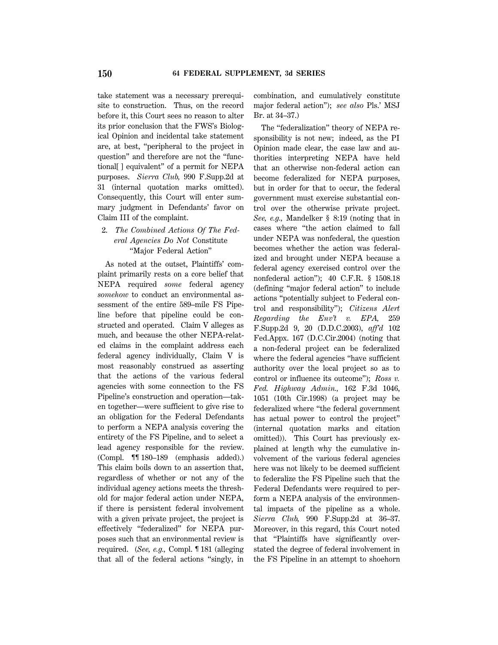take statement was a necessary prerequisite to construction. Thus, on the record before it, this Court sees no reason to alter its prior conclusion that the FWS's Biological Opinion and incidental take statement are, at best, ''peripheral to the project in question'' and therefore are not the ''functional[ ] equivalent'' of a permit for NEPA purposes. *Sierra Club,* 990 F.Supp.2d at 31 (internal quotation marks omitted). Consequently, this Court will enter summary judgment in Defendants' favor on Claim III of the complaint.

# 2. *The Combined Actions Of The Federal Agencies Do Not* Constitute ''Major Federal Action''

As noted at the outset, Plaintiffs' complaint primarily rests on a core belief that NEPA required *some* federal agency *somehow* to conduct an environmental assessment of the entire 589–mile FS Pipeline before that pipeline could be constructed and operated. Claim V alleges as much, and because the other NEPA-related claims in the complaint address each federal agency individually, Claim V is most reasonably construed as asserting that the actions of the various federal agencies with some connection to the FS Pipeline's construction and operation—taken together—were sufficient to give rise to an obligation for the Federal Defendants to perform a NEPA analysis covering the entirety of the FS Pipeline, and to select a lead agency responsible for the review. (Compl. ¶¶ 180–189 (emphasis added).) This claim boils down to an assertion that, regardless of whether or not any of the individual agency actions meets the threshold for major federal action under NEPA, if there is persistent federal involvement with a given private project, the project is effectively ''federalized'' for NEPA purposes such that an environmental review is required. (*See, e.g.,* Compl. ¶ 181 (alleging that all of the federal actions ''singly, in combination, and cumulatively constitute major federal action''); *see also* Pls.' MSJ Br. at 34–37.)

The "federalization" theory of NEPA responsibility is not new; indeed, as the PI Opinion made clear, the case law and authorities interpreting NEPA have held that an otherwise non-federal action can become federalized for NEPA purposes, but in order for that to occur, the federal government must exercise substantial control over the otherwise private project. *See, e.g.,* Mandelker § 8:19 (noting that in cases where ''the action claimed to fall under NEPA was nonfederal, the question becomes whether the action was federalized and brought under NEPA because a federal agency exercised control over the nonfederal action''); 40 C.F.R. § 1508.18 (defining ''major federal action'' to include actions ''potentially subject to Federal control and responsibility''); *Citizens Alert Regarding the Env't v. EPA,* 259 F.Supp.2d 9, 20 (D.D.C.2003), *aff'd* 102 Fed.Appx. 167 (D.C.Cir.2004) (noting that a non-federal project can be federalized where the federal agencies ''have sufficient authority over the local project so as to control or influence its outcome''); *Ross v. Fed. Highway Admin.,* 162 F.3d 1046, 1051 (10th Cir.1998) (a project may be federalized where ''the federal government has actual power to control the project" (internal quotation marks and citation omitted)). This Court has previously explained at length why the cumulative involvement of the various federal agencies here was not likely to be deemed sufficient to federalize the FS Pipeline such that the Federal Defendants were required to perform a NEPA analysis of the environmental impacts of the pipeline as a whole. *Sierra Club,* 990 F.Supp.2d at 36–37. Moreover, in this regard, this Court noted that ''Plaintiffs have significantly overstated the degree of federal involvement in the FS Pipeline in an attempt to shoehorn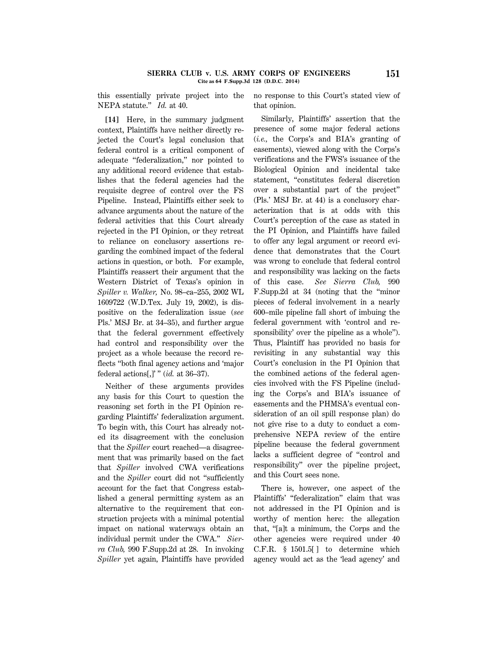### **SIERRA CLUB v. U.S. ARMY CORPS OF ENGINEERS 151 Cite as 64 F.Supp.3d 128 (D.D.C. 2014)**

this essentially private project into the NEPA statute.'' *Id.* at 40.

no response to this Court's stated view of that opinion.

**[14]** Here, in the summary judgment context, Plaintiffs have neither directly rejected the Court's legal conclusion that federal control is a critical component of adequate ''federalization,'' nor pointed to any additional record evidence that establishes that the federal agencies had the requisite degree of control over the FS Pipeline. Instead, Plaintiffs either seek to advance arguments about the nature of the federal activities that this Court already rejected in the PI Opinion, or they retreat to reliance on conclusory assertions regarding the combined impact of the federal actions in question, or both. For example, Plaintiffs reassert their argument that the Western District of Texas's opinion in *Spiller v. Walker,* No. 98–ca–255, 2002 WL 1609722 (W.D.Tex. July 19, 2002), is dispositive on the federalization issue (*see* Pls.' MSJ Br. at 34–35), and further argue that the federal government effectively had control and responsibility over the project as a whole because the record reflects ''both final agency actions and 'major federal actions[,]' '' (*id.* at 36–37).

Neither of these arguments provides any basis for this Court to question the reasoning set forth in the PI Opinion regarding Plaintiffs' federalization argument. To begin with, this Court has already noted its disagreement with the conclusion that the *Spiller* court reached—a disagreement that was primarily based on the fact that *Spiller* involved CWA verifications and the *Spiller* court did not ''sufficiently account for the fact that Congress established a general permitting system as an alternative to the requirement that construction projects with a minimal potential impact on national waterways obtain an individual permit under the CWA.'' *Sierra Club,* 990 F.Supp.2d at 28. In invoking *Spiller* yet again, Plaintiffs have provided

Similarly, Plaintiffs' assertion that the presence of some major federal actions (*i.e.,* the Corps's and BIA's granting of easements), viewed along with the Corps's verifications and the FWS's issuance of the Biological Opinion and incidental take statement, ''constitutes federal discretion over a substantial part of the project'' (Pls.' MSJ Br. at 44) is a conclusory characterization that is at odds with this Court's perception of the case as stated in the PI Opinion, and Plaintiffs have failed to offer any legal argument or record evidence that demonstrates that the Court was wrong to conclude that federal control and responsibility was lacking on the facts of this case. *See Sierra Club,* 990 F.Supp.2d at 34 (noting that the ''minor pieces of federal involvement in a nearly 600–mile pipeline fall short of imbuing the federal government with 'control and responsibility' over the pipeline as a whole''). Thus, Plaintiff has provided no basis for revisiting in any substantial way this Court's conclusion in the PI Opinion that the combined actions of the federal agencies involved with the FS Pipeline (including the Corps's and BIA's issuance of easements and the PHMSA's eventual consideration of an oil spill response plan) do not give rise to a duty to conduct a comprehensive NEPA review of the entire pipeline because the federal government lacks a sufficient degree of ''control and responsibility'' over the pipeline project, and this Court sees none.

There is, however, one aspect of the Plaintiffs' "federalization" claim that was not addressed in the PI Opinion and is worthy of mention here: the allegation that, ''[a]t a minimum, the Corps and the other agencies were required under 40 C.F.R. § 1501.5[ ] to determine which agency would act as the 'lead agency' and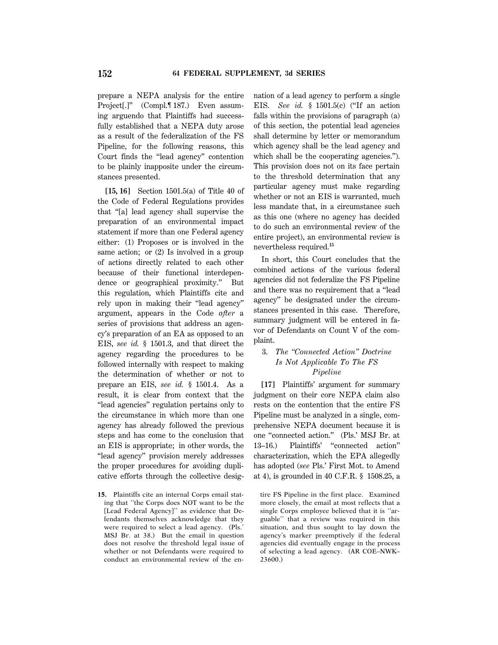prepare a NEPA analysis for the entire Project[.]'' (Compl.¶ 187.) Even assuming arguendo that Plaintiffs had successfully established that a NEPA duty arose as a result of the federalization of the FS Pipeline, for the following reasons, this Court finds the ''lead agency'' contention to be plainly inapposite under the circumstances presented.

**[15, 16]** Section 1501.5(a) of Title 40 of the Code of Federal Regulations provides that ''[a] lead agency shall supervise the preparation of an environmental impact statement if more than one Federal agency either: (1) Proposes or is involved in the same action; or  $(2)$  Is involved in a group of actions directly related to each other because of their functional interdependence or geographical proximity.'' But this regulation, which Plaintiffs cite and rely upon in making their ''lead agency'' argument, appears in the Code *after* a series of provisions that address an agency's preparation of an EA as opposed to an EIS, *see id.* § 1501.3, and that direct the agency regarding the procedures to be followed internally with respect to making the determination of whether or not to prepare an EIS, *see id.* § 1501.4. As a result, it is clear from context that the ''lead agencies'' regulation pertains only to the circumstance in which more than one agency has already followed the previous steps and has come to the conclusion that an EIS is appropriate; in other words, the "lead agency" provision merely addresses the proper procedures for avoiding duplicative efforts through the collective desig-

**15.** Plaintiffs cite an internal Corps email stating that ''the Corps does NOT want to be the [Lead Federal Agency]'' as evidence that Defendants themselves acknowledge that they were required to select a lead agency. (Pls.' MSJ Br. at 38.) But the email in question does not resolve the threshold legal issue of whether or not Defendants were required to conduct an environmental review of the ennation of a lead agency to perform a single EIS. *See id.* § 1501.5(c) (''If an action falls within the provisions of paragraph (a) of this section, the potential lead agencies shall determine by letter or memorandum which agency shall be the lead agency and which shall be the cooperating agencies.''). This provision does not on its face pertain to the threshold determination that any particular agency must make regarding whether or not an EIS is warranted, much less mandate that, in a circumstance such as this one (where no agency has decided to do such an environmental review of the entire project), an environmental review is nevertheless required.**<sup>15</sup>**

In short, this Court concludes that the combined actions of the various federal agencies did not federalize the FS Pipeline and there was no requirement that a ''lead agency'' be designated under the circumstances presented in this case. Therefore, summary judgment will be entered in favor of Defendants on Count V of the complaint.

# 3. *The ''Connected Action'' Doctrine Is Not Applicable To The FS Pipeline*

**[17]** Plaintiffs' argument for summary judgment on their core NEPA claim also rests on the contention that the entire FS Pipeline must be analyzed in a single, comprehensive NEPA document because it is one ''connected action.'' (Pls.' MSJ Br. at 13–16.) Plaintiffs' ''connected action'' characterization, which the EPA allegedly has adopted (*see* Pls.' First Mot. to Amend at 4), is grounded in 40 C.F.R. § 1508.25, a

tire FS Pipeline in the first place. Examined more closely, the email at most reflects that a single Corps employee believed that it is ''arguable'' that a review was required in this situation, and thus sought to lay down the agency's marker preemptively if the federal agencies did eventually engage in the process of selecting a lead agency. (AR COE–NWK– 23600.)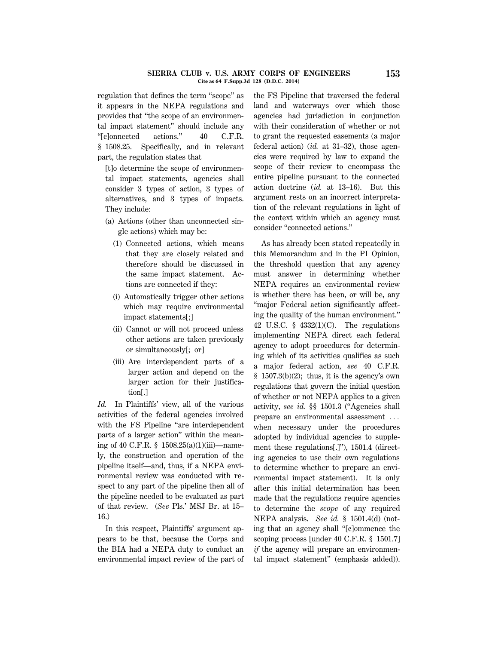### **SIERRA CLUB v. U.S. ARMY CORPS OF ENGINEERS 153 Cite as 64 F.Supp.3d 128 (D.D.C. 2014)**

regulation that defines the term ''scope'' as it appears in the NEPA regulations and provides that ''the scope of an environmental impact statement'' should include any ''[c]onnected actions.'' 40 C.F.R. § 1508.25. Specifically, and in relevant part, the regulation states that

[t]o determine the scope of environmental impact statements, agencies shall consider 3 types of action, 3 types of alternatives, and 3 types of impacts. They include:

- (a) Actions (other than unconnected single actions) which may be:
	- (1) Connected actions, which means that they are closely related and therefore should be discussed in the same impact statement. Actions are connected if they:
	- (i) Automatically trigger other actions which may require environmental impact statements[;]
	- (ii) Cannot or will not proceed unless other actions are taken previously or simultaneously[; or]
	- (iii) Are interdependent parts of a larger action and depend on the larger action for their justification[.]

*Id.* In Plaintiffs' view, all of the various activities of the federal agencies involved with the FS Pipeline "are interdependent parts of a larger action'' within the meaning of 40 C.F.R. § 1508.25(a)(1)(iii)—namely, the construction and operation of the pipeline itself—and, thus, if a NEPA environmental review was conducted with respect to any part of the pipeline then all of the pipeline needed to be evaluated as part of that review. (*See* Pls.' MSJ Br. at 15– 16.)

In this respect, Plaintiffs' argument appears to be that, because the Corps and the BIA had a NEPA duty to conduct an environmental impact review of the part of the FS Pipeline that traversed the federal land and waterways over which those agencies had jurisdiction in conjunction with their consideration of whether or not to grant the requested easements (a major federal action) (*id.* at 31–32), those agencies were required by law to expand the scope of their review to encompass the entire pipeline pursuant to the connected action doctrine (*id.* at 13–16). But this argument rests on an incorrect interpretation of the relevant regulations in light of the context within which an agency must consider ''connected actions.''

As has already been stated repeatedly in this Memorandum and in the PI Opinion, the threshold question that any agency must answer in determining whether NEPA requires an environmental review is whether there has been, or will be, any ''major Federal action significantly affecting the quality of the human environment.'' 42 U.S.C. § 4332(1)(C). The regulations implementing NEPA direct each federal agency to adopt procedures for determining which of its activities qualifies as such a major federal action, *see* 40 C.F.R.  $§ 1507.3(b)(2);$  thus, it is the agency's own regulations that govern the initial question of whether or not NEPA applies to a given activity, *see id.* §§ 1501.3 (''Agencies shall prepare an environmental assessment  $\ldots$ when necessary under the procedures adopted by individual agencies to supplement these regulations[.]''), 1501.4 (directing agencies to use their own regulations to determine whether to prepare an environmental impact statement). It is only after this initial determination has been made that the regulations require agencies to determine the *scope* of any required NEPA analysis. *See id.* § 1501.4(d) (noting that an agency shall ''[c]ommence the scoping process [under 40 C.F.R. § 1501.7] *if* the agency will prepare an environmental impact statement'' (emphasis added)).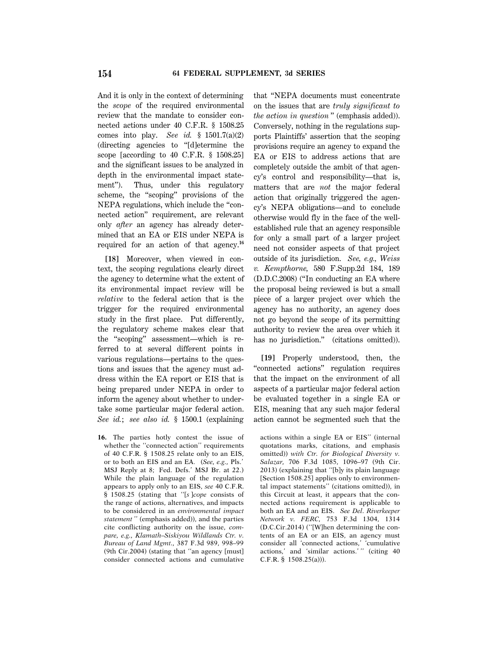And it is only in the context of determining the *scope* of the required environmental review that the mandate to consider connected actions under 40 C.F.R. § 1508.25 comes into play. *See id.* § 1501.7(a)(2) (directing agencies to ''[d]etermine the scope [according to 40 C.F.R. § 1508.25] and the significant issues to be analyzed in depth in the environmental impact statement"). Thus, under this regulatory scheme, the "scoping" provisions of the NEPA regulations, which include the ''connected action'' requirement, are relevant only *after* an agency has already determined that an EA or EIS under NEPA is required for an action of that agency.**<sup>16</sup>**

**[18]** Moreover, when viewed in context, the scoping regulations clearly direct the agency to determine what the extent of its environmental impact review will be *relative* to the federal action that is the trigger for the required environmental study in the first place. Put differently, the regulatory scheme makes clear that the ''scoping'' assessment—which is referred to at several different points in various regulations—pertains to the questions and issues that the agency must address within the EA report or EIS that is being prepared under NEPA in order to inform the agency about whether to undertake some particular major federal action. *See id.*; *see also id.* § 1500.1 (explaining

**16.** The parties hotly contest the issue of whether the "connected action" requirements of 40 C.F.R. § 1508.25 relate only to an EIS, or to both an EIS and an EA. (*See, e.g.,* Pls.' MSJ Reply at 8; Fed. Defs.' MSJ Br. at 22.) While the plain language of the regulation appears to apply only to an EIS, *see* 40 C.F.R. § 1508.25 (stating that ''[*s* ]*cope* consists of the range of actions, alternatives, and impacts to be considered in an *environmental impact statement* '' (emphasis added)), and the parties cite conflicting authority on the issue, *compare, e.g., Klamath–Siskiyou Wildlands Ctr. v. Bureau of Land Mgmt.,* 387 F.3d 989, 998–99 (9th Cir.2004) (stating that ''an agency [must] consider connected actions and cumulative

that ''NEPA documents must concentrate on the issues that are *truly significant to the action in question* '' (emphasis added)). Conversely, nothing in the regulations supports Plaintiffs' assertion that the scoping provisions require an agency to expand the EA or EIS to address actions that are completely outside the ambit of that agency's control and responsibility—that is, matters that are *not* the major federal action that originally triggered the agency's NEPA obligations—and to conclude otherwise would fly in the face of the wellestablished rule that an agency responsible for only a small part of a larger project need not consider aspects of that project outside of its jurisdiction. *See, e.g., Weiss v. Kempthorne,* 580 F.Supp.2d 184, 189 (D.D.C.2008) (''In conducting an EA where the proposal being reviewed is but a small piece of a larger project over which the agency has no authority, an agency does not go beyond the scope of its permitting authority to review the area over which it has no jurisdiction.'' (citations omitted)).

**[19]** Properly understood, then, the ''connected actions'' regulation requires that the impact on the environment of all aspects of a particular major federal action be evaluated together in a single EA or EIS, meaning that any such major federal action cannot be segmented such that the

actions within a single EA or EIS'' (internal quotations marks, citations, and emphasis omitted)) *with Ctr. for Biological Diversity v. Salazar,* 706 F.3d 1085, 1096–97 (9th Cir. 2013) (explaining that ''[b]y its plain language [Section 1508.25] applies only to environmental impact statements'' (citations omitted)), in this Circuit at least, it appears that the connected actions requirement is applicable to both an EA and an EIS. *See Del. Riverkeeper Network v. FERC,* 753 F.3d 1304, 1314 (D.C.Cir.2014) (''[W]hen determining the contents of an EA or an EIS, an agency must consider all 'connected actions,' 'cumulative actions,' and 'similar actions.' '' (citing 40 C.F.R. § 1508.25(a))).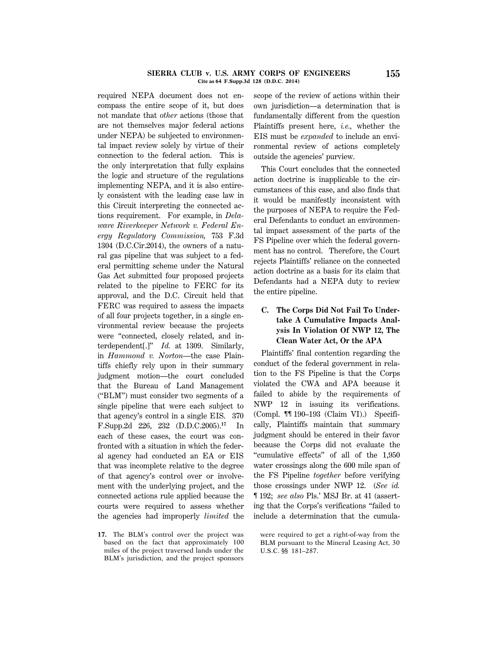#### **SIERRA CLUB v. U.S. ARMY CORPS OF ENGINEERS 155 Cite as 64 F.Supp.3d 128 (D.D.C. 2014)**

required NEPA document does not encompass the entire scope of it, but does not mandate that *other* actions (those that are not themselves major federal actions under NEPA) be subjected to environmental impact review solely by virtue of their connection to the federal action. This is the only interpretation that fully explains the logic and structure of the regulations implementing NEPA, and it is also entirely consistent with the leading case law in this Circuit interpreting the connected actions requirement. For example, in *Delaware Riverkeeper Network v. Federal Energy Regulatory Commission,* 753 F.3d 1304 (D.C.Cir.2014), the owners of a natural gas pipeline that was subject to a federal permitting scheme under the Natural Gas Act submitted four proposed projects related to the pipeline to FERC for its approval, and the D.C. Circuit held that FERC was required to assess the impacts of all four projects together, in a single environmental review because the projects were ''connected, closely related, and interdependent[.]'' *Id.* at 1309. Similarly, in *Hammond v. Norton*—the case Plaintiffs chiefly rely upon in their summary judgment motion—the court concluded that the Bureau of Land Management (''BLM'') must consider two segments of a single pipeline that were each subject to that agency's control in a single EIS. 370 F.Supp.2d 226, 232 (D.D.C.2005).**<sup>17</sup>** In each of these cases, the court was confronted with a situation in which the federal agency had conducted an EA or EIS that was incomplete relative to the degree of that agency's control over or involvement with the underlying project, and the connected actions rule applied because the courts were required to assess whether the agencies had improperly *limited* the

**17.** The BLM's control over the project was based on the fact that approximately 100 miles of the project traversed lands under the BLM's jurisdiction, and the project sponsors scope of the review of actions within their own jurisdiction—a determination that is fundamentally different from the question Plaintiffs present here, *i.e.,* whether the EIS must be *expanded* to include an environmental review of actions completely outside the agencies' purview.

This Court concludes that the connected action doctrine is inapplicable to the circumstances of this case, and also finds that it would be manifestly inconsistent with the purposes of NEPA to require the Federal Defendants to conduct an environmental impact assessment of the parts of the FS Pipeline over which the federal government has no control. Therefore, the Court rejects Plaintiffs' reliance on the connected action doctrine as a basis for its claim that Defendants had a NEPA duty to review the entire pipeline.

# **C. The Corps Did Not Fail To Undertake A Cumulative Impacts Analysis In Violation Of NWP 12, The Clean Water Act, Or the APA**

Plaintiffs' final contention regarding the conduct of the federal government in relation to the FS Pipeline is that the Corps violated the CWA and APA because it failed to abide by the requirements of NWP 12 in issuing its verifications. (Compl. ¶¶ 190–193 (Claim VI).) Specifically, Plaintiffs maintain that summary judgment should be entered in their favor because the Corps did not evaluate the ''cumulative effects'' of all of the 1,950 water crossings along the 600 mile span of the FS Pipeline *together* before verifying those crossings under NWP 12. (*See id.* ¶ 192; *see also* Pls.' MSJ Br. at 41 (asserting that the Corps's verifications ''failed to include a determination that the cumula-

were required to get a right-of-way from the BLM pursuant to the Mineral Leasing Act, 30 U.S.C. §§ 181–287.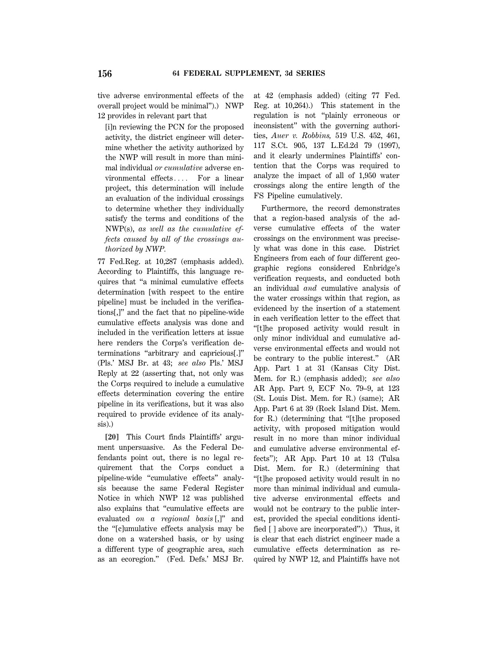tive adverse environmental effects of the overall project would be minimal'').) NWP 12 provides in relevant part that

[i]n reviewing the PCN for the proposed activity, the district engineer will determine whether the activity authorized by the NWP will result in more than minimal individual *or cumulative* adverse environmental effects.... For a linear project, this determination will include an evaluation of the individual crossings to determine whether they individually satisfy the terms and conditions of the NWP(s), *as well as the cumulative effects caused by all of the crossings authorized by NWP.*

77 Fed.Reg. at 10,287 (emphasis added). According to Plaintiffs, this language requires that ''a minimal cumulative effects determination [with respect to the entire pipeline] must be included in the verifications[,]'' and the fact that no pipeline-wide cumulative effects analysis was done and included in the verification letters at issue here renders the Corps's verification determinations ''arbitrary and capricious[.]'' (Pls.' MSJ Br. at 43; *see also* Pls.' MSJ Reply at 22 (asserting that, not only was the Corps required to include a cumulative effects determination covering the entire pipeline in its verifications, but it was also required to provide evidence of its analysis).)

**[20]** This Court finds Plaintiffs' argument unpersuasive. As the Federal Defendants point out, there is no legal requirement that the Corps conduct a pipeline-wide ''cumulative effects'' analysis because the same Federal Register Notice in which NWP 12 was published also explains that ''cumulative effects are evaluated *on a regional basis* [,]'' and the ''[c]umulative effects analysis may be done on a watershed basis, or by using a different type of geographic area, such as an ecoregion.'' (Fed. Defs.' MSJ Br. at 42 (emphasis added) (citing 77 Fed. Reg. at 10,264).) This statement in the regulation is not ''plainly erroneous or inconsistent'' with the governing authorities, *Auer v. Robbins,* 519 U.S. 452, 461, 117 S.Ct. 905, 137 L.Ed.2d 79 (1997), and it clearly undermines Plaintiffs' contention that the Corps was required to analyze the impact of all of 1,950 water crossings along the entire length of the FS Pipeline cumulatively.

Furthermore, the record demonstrates that a region-based analysis of the adverse cumulative effects of the water crossings on the environment was precisely what was done in this case. District Engineers from each of four different geographic regions considered Enbridge's verification requests, and conducted both an individual *and* cumulative analysis of the water crossings within that region, as evidenced by the insertion of a statement in each verification letter to the effect that ''[t]he proposed activity would result in only minor individual and cumulative adverse environmental effects and would not be contrary to the public interest.'' (AR App. Part 1 at 31 (Kansas City Dist. Mem. for R.) (emphasis added); *see also* AR App. Part 9, ECF No. 79–9, at 123 (St. Louis Dist. Mem. for R.) (same); AR App. Part 6 at 39 (Rock Island Dist. Mem. for R.) (determining that "[t]he proposed activity, with proposed mitigation would result in no more than minor individual and cumulative adverse environmental effects''); AR App. Part 10 at 13 (Tulsa Dist. Mem. for R.) (determining that ''[t]he proposed activity would result in no more than minimal individual and cumulative adverse environmental effects and would not be contrary to the public interest, provided the special conditions identified [ ] above are incorporated'').) Thus, it is clear that each district engineer made a cumulative effects determination as required by NWP 12, and Plaintiffs have not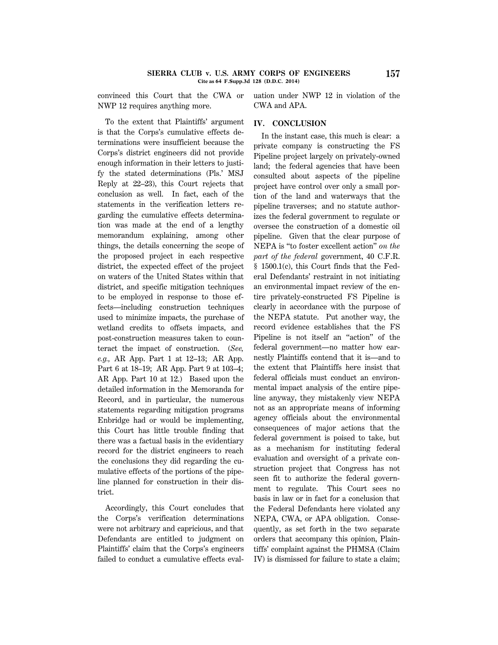convinced this Court that the CWA or NWP 12 requires anything more.

uation under NWP 12 in violation of the CWA and APA.

To the extent that Plaintiffs' argument is that the Corps's cumulative effects determinations were insufficient because the Corps's district engineers did not provide enough information in their letters to justify the stated determinations (Pls.' MSJ Reply at 22–23), this Court rejects that conclusion as well. In fact, each of the statements in the verification letters regarding the cumulative effects determination was made at the end of a lengthy memorandum explaining, among other things, the details concerning the scope of the proposed project in each respective district, the expected effect of the project on waters of the United States within that district, and specific mitigation techniques to be employed in response to those effects—including construction techniques used to minimize impacts, the purchase of wetland credits to offsets impacts, and post-construction measures taken to counteract the impact of construction. (*See, e.g.,* AR App. Part 1 at 12–13; AR App. Part 6 at 18–19; AR App. Part 9 at 103–4; AR App. Part 10 at 12.) Based upon the detailed information in the Memoranda for Record, and in particular, the numerous statements regarding mitigation programs Enbridge had or would be implementing, this Court has little trouble finding that there was a factual basis in the evidentiary record for the district engineers to reach the conclusions they did regarding the cumulative effects of the portions of the pipeline planned for construction in their district.

Accordingly, this Court concludes that the Corps's verification determinations were not arbitrary and capricious, and that Defendants are entitled to judgment on Plaintiffs' claim that the Corps's engineers failed to conduct a cumulative effects eval-

# **IV. CONCLUSION**

In the instant case, this much is clear: a private company is constructing the FS Pipeline project largely on privately-owned land; the federal agencies that have been consulted about aspects of the pipeline project have control over only a small portion of the land and waterways that the pipeline traverses; and no statute authorizes the federal government to regulate or oversee the construction of a domestic oil pipeline. Given that the clear purpose of NEPA is ''to foster excellent action'' *on the part of the federal* government, 40 C.F.R. § 1500.1(c), this Court finds that the Federal Defendants' restraint in not initiating an environmental impact review of the entire privately-constructed FS Pipeline is clearly in accordance with the purpose of the NEPA statute. Put another way, the record evidence establishes that the FS Pipeline is not itself an ''action'' of the federal government—no matter how earnestly Plaintiffs contend that it is—and to the extent that Plaintiffs here insist that federal officials must conduct an environmental impact analysis of the entire pipeline anyway, they mistakenly view NEPA not as an appropriate means of informing agency officials about the environmental consequences of major actions that the federal government is poised to take, but as a mechanism for instituting federal evaluation and oversight of a private construction project that Congress has not seen fit to authorize the federal government to regulate. This Court sees no basis in law or in fact for a conclusion that the Federal Defendants here violated any NEPA, CWA, or APA obligation. Consequently, as set forth in the two separate orders that accompany this opinion, Plaintiffs' complaint against the PHMSA (Claim IV) is dismissed for failure to state a claim;